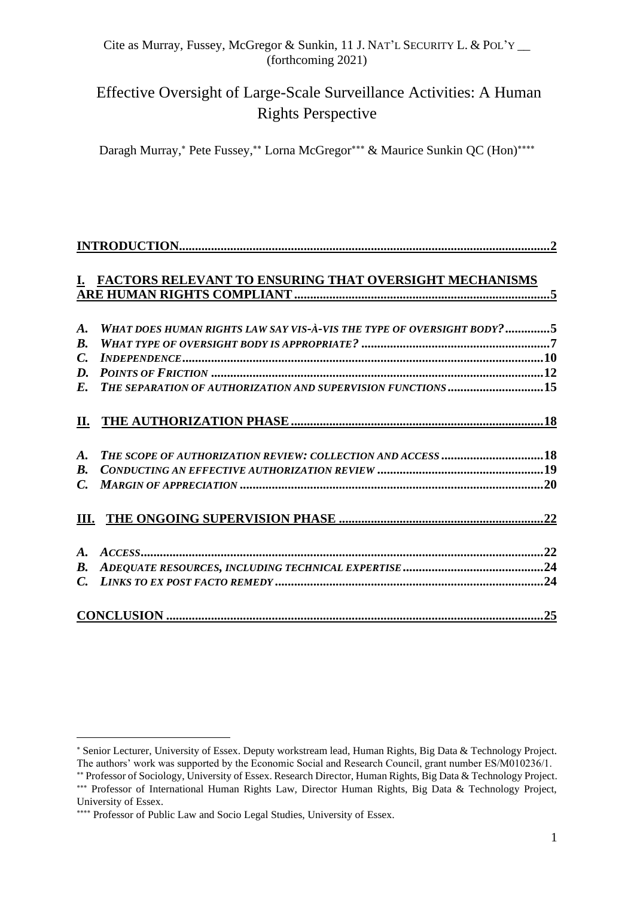# Effective Oversight of Large-Scale Surveillance Activities: A Human Rights Perspective

Daragh Murray,\* Pete Fussey,\*\* Lorna McGregor\*\*\* & Maurice Sunkin QC (Hon)\*\*\*\*

|                    | I. FACTORS RELEVANT TO ENSURING THAT OVERSIGHT MECHANISMS              |  |
|--------------------|------------------------------------------------------------------------|--|
| $\boldsymbol{A}$ . | WHAT DOES HUMAN RIGHTS LAW SAY VIS-À-VIS THE TYPE OF OVERSIGHT BODY? 5 |  |
| $\boldsymbol{B}$ . |                                                                        |  |
| $C_{\cdot}$        |                                                                        |  |
|                    |                                                                        |  |
|                    | E. THE SEPARATION OF AUTHORIZATION AND SUPERVISION FUNCTIONS 15        |  |
|                    |                                                                        |  |
| $\boldsymbol{A}$ . | THE SCOPE OF AUTHORIZATION REVIEW: COLLECTION AND ACCESS 18            |  |
| $\mathbf{B}$ .     |                                                                        |  |
|                    |                                                                        |  |
|                    |                                                                        |  |
|                    |                                                                        |  |
| <b>B.</b>          |                                                                        |  |
|                    |                                                                        |  |
|                    |                                                                        |  |

<span id="page-0-0"></span>Senior Lecturer, University of Essex. Deputy workstream lead, Human Rights, Big Data & Technology Project. The authors' work was supported by the Economic Social and Research Council, grant number ES/M010236/1.

<sup>\*\*</sup> Professor of Sociology, University of Essex. Research Director, Human Rights, Big Data & Technology Project. \*\*\* Professor of International Human Rights Law, Director Human Rights, Big Data & Technology Project,

University of Essex.

<sup>\*\*\*\*</sup> Professor of Public Law and Socio Legal Studies, University of Essex.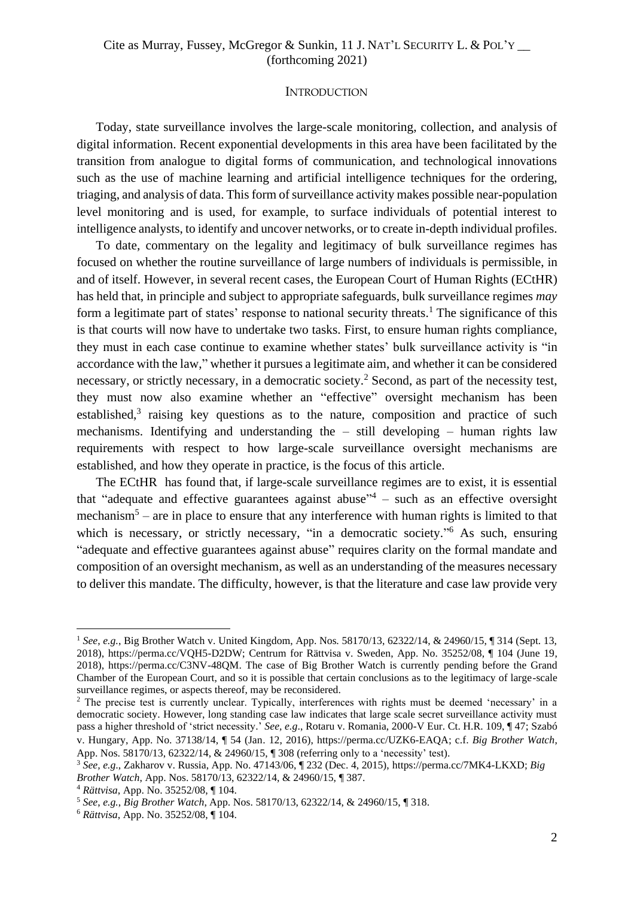#### **INTRODUCTION**

Today, state surveillance involves the large-scale monitoring, collection, and analysis of digital information. Recent exponential developments in this area have been facilitated by the transition from analogue to digital forms of communication, and technological innovations such as the use of machine learning and artificial intelligence techniques for the ordering, triaging, and analysis of data. This form of surveillance activity makes possible near-population level monitoring and is used, for example, to surface individuals of potential interest to intelligence analysts, to identify and uncover networks, or to create in-depth individual profiles.

To date, commentary on the legality and legitimacy of bulk surveillance regimes has focused on whether the routine surveillance of large numbers of individuals is permissible, in and of itself. However, in several recent cases, the European Court of Human Rights (ECtHR) has held that, in principle and subject to appropriate safeguards, bulk surveillance regimes *may* form a legitimate part of states' response to national security threats.<sup>1</sup> The significance of this is that courts will now have to undertake two tasks. First, to ensure human rights compliance, they must in each case continue to examine whether states' bulk surveillance activity is "in accordance with the law," whether it pursues a legitimate aim, and whether it can be considered necessary, or strictly necessary, in a democratic society.<sup>2</sup> Second, as part of the necessity test, they must now also examine whether an "effective" oversight mechanism has been established,<sup>3</sup> raising key questions as to the nature, composition and practice of such mechanisms. Identifying and understanding the – still developing – human rights law requirements with respect to how large-scale surveillance oversight mechanisms are established, and how they operate in practice, is the focus of this article.

The ECtHR has found that, if large-scale surveillance regimes are to exist, it is essential that "adequate and effective guarantees against abuse" $4 -$  such as an effective oversight mechanism<sup>5</sup> – are in place to ensure that any interference with human rights is limited to that which is necessary, or strictly necessary, "in a democratic society."<sup>6</sup> As such, ensuring "adequate and effective guarantees against abuse" requires clarity on the formal mandate and composition of an oversight mechanism, as well as an understanding of the measures necessary to deliver this mandate. The difficulty, however, is that the literature and case law provide very

<sup>1</sup> *See*, *e.g.*, Big Brother Watch v. United Kingdom, App. Nos. 58170/13, 62322/14, & 24960/15, ¶ 314 (Sept. 13, 2018), https://perma.cc/VQH5-D2DW; Centrum for Rättvisa v. Sweden, App. No. 35252/08, ¶ 104 (June 19, 2018), https://perma.cc/C3NV-48QM. The case of Big Brother Watch is currently pending before the Grand Chamber of the European Court, and so it is possible that certain conclusions as to the legitimacy of large-scale surveillance regimes, or aspects thereof, may be reconsidered.

<sup>&</sup>lt;sup>2</sup> The precise test is currently unclear. Typically, interferences with rights must be deemed 'necessary' in a democratic society. However, long standing case law indicates that large scale secret surveillance activity must pass a higher threshold of 'strict necessity.' *See, e.g*., Rotaru v. Romania, 2000-V Eur. Ct. H.R. 109, ¶ 47; Szabó v. Hungary, App. No. 37138/14, ¶ 54 (Jan. 12, 2016), https://perma.cc/UZK6-EAQA; c.f. *Big Brother Watch*, App. Nos. 58170/13, 62322/14, & 24960/15, ¶ 308 (referring only to a 'necessity' test).

<sup>3</sup> *See, e.g*., Zakharov v. Russia, App. No. 47143/06, ¶ 232 (Dec. 4, 2015), https://perma.cc/7MK4-LKXD; *Big Brother Watch*, App. Nos. 58170/13, 62322/14, & 24960/15, ¶ 387.

<sup>4</sup> *Rättvisa*, App. No. 35252/08, ¶ 104.

<sup>5</sup> *See*, *e.g.*, *Big Brother Watch*, App. Nos. 58170/13, 62322/14, & 24960/15, ¶ 318.

<sup>6</sup> *Rättvisa*, App. No. 35252/08, ¶ 104.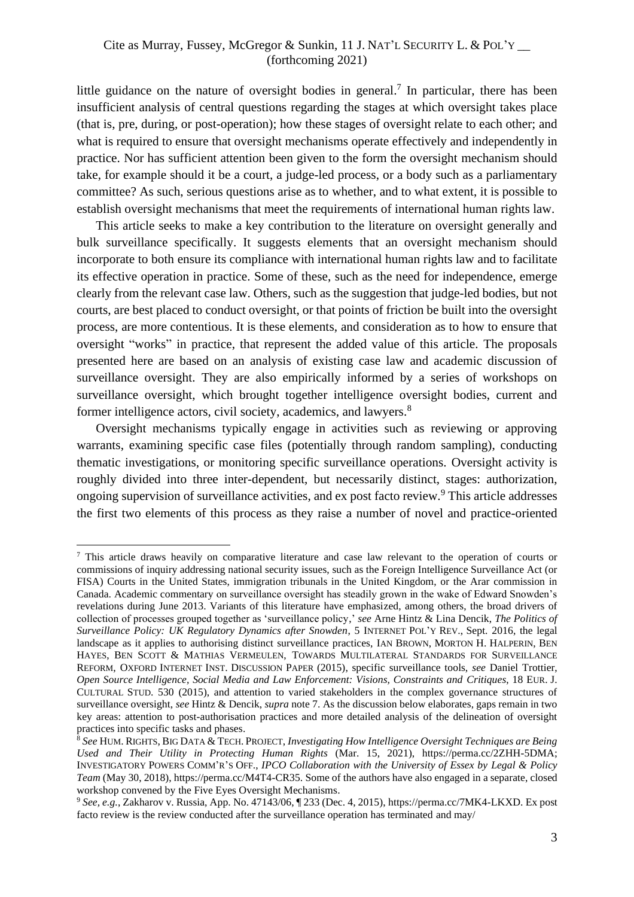little guidance on the nature of oversight bodies in general.<sup>7</sup> In particular, there has been insufficient analysis of central questions regarding the stages at which oversight takes place (that is, pre, during, or post-operation); how these stages of oversight relate to each other; and what is required to ensure that oversight mechanisms operate effectively and independently in practice. Nor has sufficient attention been given to the form the oversight mechanism should take, for example should it be a court, a judge-led process, or a body such as a parliamentary committee? As such, serious questions arise as to whether, and to what extent, it is possible to establish oversight mechanisms that meet the requirements of international human rights law.

This article seeks to make a key contribution to the literature on oversight generally and bulk surveillance specifically. It suggests elements that an oversight mechanism should incorporate to both ensure its compliance with international human rights law and to facilitate its effective operation in practice. Some of these, such as the need for independence, emerge clearly from the relevant case law. Others, such as the suggestion that judge-led bodies, but not courts, are best placed to conduct oversight, or that points of friction be built into the oversight process, are more contentious. It is these elements, and consideration as to how to ensure that oversight "works" in practice, that represent the added value of this article. The proposals presented here are based on an analysis of existing case law and academic discussion of surveillance oversight. They are also empirically informed by a series of workshops on surveillance oversight, which brought together intelligence oversight bodies, current and former intelligence actors, civil society, academics, and lawyers.<sup>8</sup>

Oversight mechanisms typically engage in activities such as reviewing or approving warrants, examining specific case files (potentially through random sampling), conducting thematic investigations, or monitoring specific surveillance operations. Oversight activity is roughly divided into three inter-dependent, but necessarily distinct, stages: authorization, ongoing supervision of surveillance activities, and ex post facto review.<sup>9</sup> This article addresses the first two elements of this process as they raise a number of novel and practice-oriented

<sup>7</sup> This article draws heavily on comparative literature and case law relevant to the operation of courts or commissions of inquiry addressing national security issues, such as the Foreign Intelligence Surveillance Act (or FISA) Courts in the United States, immigration tribunals in the United Kingdom, or the Arar commission in Canada. Academic commentary on surveillance oversight has steadily grown in the wake of Edward Snowden's revelations during June 2013. Variants of this literature have emphasized, among others, the broad drivers of collection of processes grouped together as 'surveillance policy,' *see* Arne Hintz & Lina Dencik, *The Politics of Surveillance Policy: UK Regulatory Dynamics after Snowden*, 5 INTERNET POL'Y REV., Sept. 2016, the legal landscape as it applies to authorising distinct surveillance practices, IAN BROWN, MORTON H. HALPERIN, BEN HAYES, BEN SCOTT & MATHIAS VERMEULEN, TOWARDS MULTILATERAL STANDARDS FOR SURVEILLANCE REFORM, OXFORD INTERNET INST. DISCUSSION PAPER (2015), specific surveillance tools, *see* Daniel Trottier, *Open Source Intelligence, Social Media and Law Enforcement: Visions, Constraints and Critiques*, 18 EUR. J. CULTURAL STUD. 530 (2015), and attention to varied stakeholders in the complex governance structures of surveillance oversight, *see* Hintz & Dencik, *supra* note 7. As the discussion below elaborates, gaps remain in two key areas: attention to post-authorisation practices and more detailed analysis of the delineation of oversight practices into specific tasks and phases.

<sup>8</sup> *See* HUM. RIGHTS, BIG DATA & TECH. PROJECT, *Investigating How Intelligence Oversight Techniques are Being Used and Their Utility in Protecting Human Rights* (Mar. 15, 2021), https://perma.cc/2ZHH-5DMA; INVESTIGATORY POWERS COMM'R'S OFF., *IPCO Collaboration with the University of Essex by Legal & Policy Team* (May 30, 2018), https://perma.cc/M4T4-CR35. Some of the authors have also engaged in a separate, closed workshop convened by the Five Eyes Oversight Mechanisms.

<sup>9</sup> *See, e.g.*, Zakharov v. Russia, App. No. 47143/06, ¶ 233 (Dec. 4, 2015), https://perma.cc/7MK4-LKXD. Ex post facto review is the review conducted after the surveillance operation has terminated and may/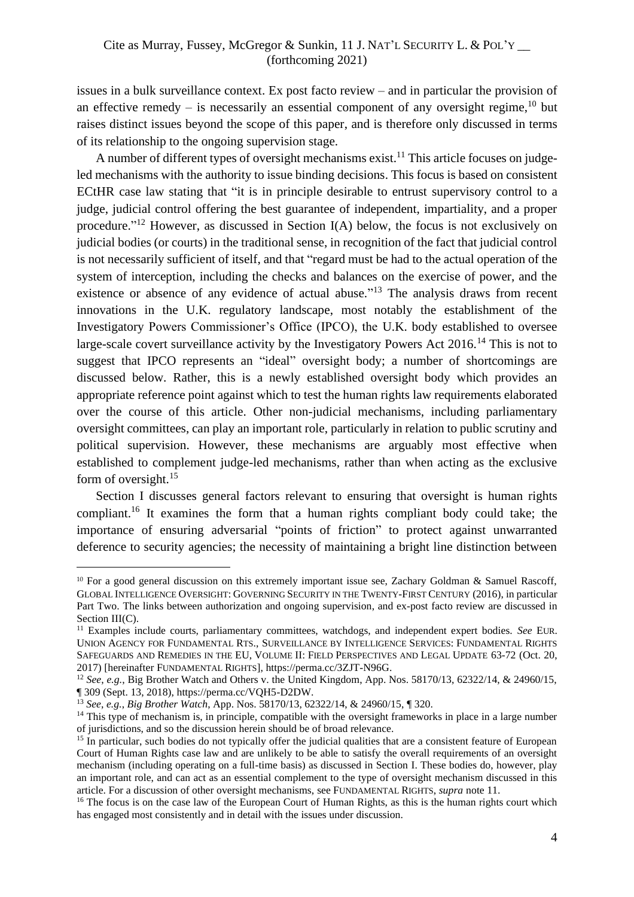issues in a bulk surveillance context. Ex post facto review – and in particular the provision of an effective remedy  $-$  is necessarily an essential component of any oversight regime,  $10$  but raises distinct issues beyond the scope of this paper, and is therefore only discussed in terms of its relationship to the ongoing supervision stage.

A number of different types of oversight mechanisms exist.<sup>11</sup> This article focuses on judgeled mechanisms with the authority to issue binding decisions. This focus is based on consistent ECtHR case law stating that "it is in principle desirable to entrust supervisory control to a judge, judicial control offering the best guarantee of independent, impartiality, and a proper procedure."<sup>12</sup> However, as discussed in Section  $I(A)$  below, the focus is not exclusively on judicial bodies (or courts) in the traditional sense, in recognition of the fact that judicial control is not necessarily sufficient of itself, and that "regard must be had to the actual operation of the system of interception, including the checks and balances on the exercise of power, and the existence or absence of any evidence of actual abuse."<sup>13</sup> The analysis draws from recent innovations in the U.K. regulatory landscape, most notably the establishment of the Investigatory Powers Commissioner's Office (IPCO), the U.K. body established to oversee large-scale covert surveillance activity by the Investigatory Powers Act 2016.<sup>14</sup> This is not to suggest that IPCO represents an "ideal" oversight body; a number of shortcomings are discussed below. Rather, this is a newly established oversight body which provides an appropriate reference point against which to test the human rights law requirements elaborated over the course of this article. Other non-judicial mechanisms, including parliamentary oversight committees, can play an important role, particularly in relation to public scrutiny and political supervision. However, these mechanisms are arguably most effective when established to complement judge-led mechanisms, rather than when acting as the exclusive form of oversight.<sup>15</sup>

Section I discusses general factors relevant to ensuring that oversight is human rights compliant. <sup>16</sup> It examines the form that a human rights compliant body could take; the importance of ensuring adversarial "points of friction" to protect against unwarranted deference to security agencies; the necessity of maintaining a bright line distinction between

<sup>&</sup>lt;sup>10</sup> For a good general discussion on this extremely important issue see, Zachary Goldman & Samuel Rascoff, GLOBAL INTELLIGENCE OVERSIGHT: GOVERNING SECURITY IN THE TWENTY-FIRST CENTURY (2016), in particular Part Two. The links between authorization and ongoing supervision, and ex-post facto review are discussed in Section III(C).

<sup>&</sup>lt;sup>11</sup> Examples include courts, parliamentary committees, watchdogs, and independent expert bodies. See EUR. UNION AGENCY FOR FUNDAMENTAL RTS., SURVEILLANCE BY INTELLIGENCE SERVICES: FUNDAMENTAL RIGHTS SAFEGUARDS AND REMEDIES IN THE EU, VOLUME II: FIELD PERSPECTIVES AND LEGAL UPDATE 63-72 (Oct. 20, 2017) [hereinafter FUNDAMENTAL RIGHTS], https://perma.cc/3ZJT-N96G.

<sup>12</sup> *See*, *e.g.*, Big Brother Watch and Others v. the United Kingdom, App. Nos. 58170/13, 62322/14, & 24960/15, ¶ 309 (Sept. 13, 2018), https://perma.cc/VQH5-D2DW.

<sup>13</sup> *See*, *e.g.*, *Big Brother Watch*, App. Nos. 58170/13, 62322/14, & 24960/15, ¶ 320.

<sup>&</sup>lt;sup>14</sup> This type of mechanism is, in principle, compatible with the oversight frameworks in place in a large number of jurisdictions, and so the discussion herein should be of broad relevance.

<sup>&</sup>lt;sup>15</sup> In particular, such bodies do not typically offer the judicial qualities that are a consistent feature of European Court of Human Rights case law and are unlikely to be able to satisfy the overall requirements of an oversight mechanism (including operating on a full-time basis) as discussed in Section I. These bodies do, however, play an important role, and can act as an essential complement to the type of oversight mechanism discussed in this article. For a discussion of other oversight mechanisms, see FUNDAMENTAL RIGHTS, *supra* note 11.

<sup>&</sup>lt;sup>16</sup> The focus is on the case law of the European Court of Human Rights, as this is the human rights court which has engaged most consistently and in detail with the issues under discussion.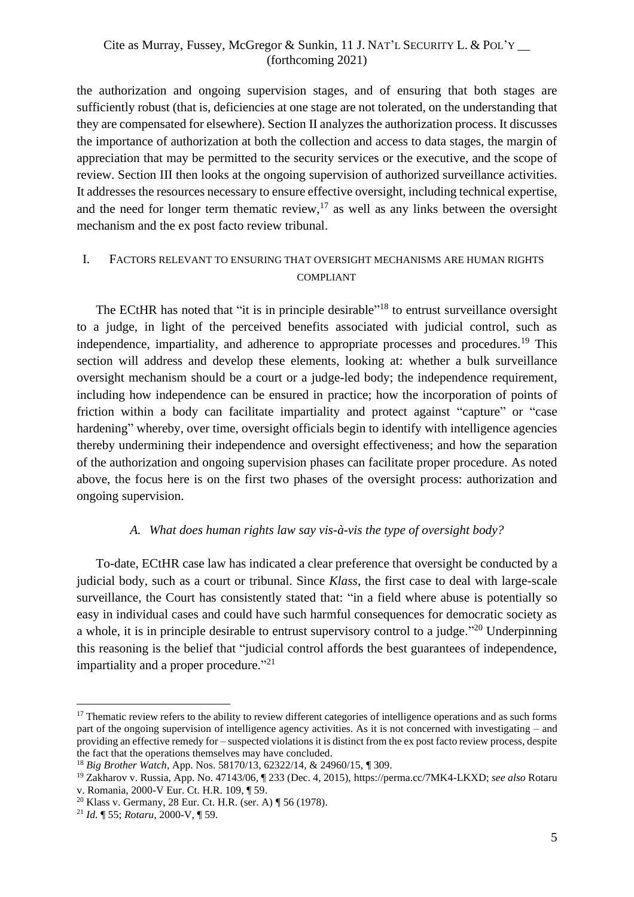the authorization and ongoing supervision stages, and of ensuring that both stages are sufficiently robust (that is, deficiencies at one stage are not tolerated, on the understanding that they are compensated for elsewhere). Section II analyzes the authorization process. It discusses the importance of authorization at both the collection and access to data stages, the margin of appreciation that may be permitted to the security services or the executive, and the scope of review. Section III then looks at the ongoing supervision of authorized surveillance activities. It addresses the resources necessary to ensure effective oversight, including technical expertise, and the need for longer term thematic review,  $17$  as well as any links between the oversight mechanism and the ex post facto review tribunal.

# <span id="page-4-0"></span>I. FACTORS RELEVANT TO ENSURING THAT OVERSIGHT MECHANISMS ARE HUMAN RIGHTS COMPLIANT

The ECtHR has noted that "it is in principle desirable"<sup>18</sup> to entrust surveillance oversight to a judge, in light of the perceived benefits associated with judicial control, such as independence, impartiality, and adherence to appropriate processes and procedures.<sup>19</sup> This section will address and develop these elements, looking at: whether a bulk surveillance oversight mechanism should be a court or a judge-led body; the independence requirement, including how independence can be ensured in practice; how the incorporation of points of friction within a body can facilitate impartiality and protect against "capture" or "case hardening" whereby, over time, oversight officials begin to identify with intelligence agencies thereby undermining their independence and oversight effectiveness; and how the separation of the authorization and ongoing supervision phases can facilitate proper procedure. As noted above, the focus here is on the first two phases of the oversight process: authorization and ongoing supervision.

## *A. What does human rights law say vis-à-vis the type of oversight body?*

<span id="page-4-1"></span>To-date, ECtHR case law has indicated a clear preference that oversight be conducted by a judicial body, such as a court or tribunal. Since *Klass*, the first case to deal with large-scale surveillance, the Court has consistently stated that: "in a field where abuse is potentially so easy in individual cases and could have such harmful consequences for democratic society as a whole, it is in principle desirable to entrust supervisory control to a judge."<sup>20</sup> Underpinning this reasoning is the belief that "judicial control affords the best guarantees of independence, impartiality and a proper procedure."<sup>21</sup>

<sup>&</sup>lt;sup>17</sup> Thematic review refers to the ability to review different categories of intelligence operations and as such forms part of the ongoing supervision of intelligence agency activities. As it is not concerned with investigating – and providing an effective remedy for – suspected violations it is distinct from the ex post facto review process, despite the fact that the operations themselves may have concluded.

<sup>18</sup> *Big Brother Watch*, App. Nos. 58170/13, 62322/14, & 24960/15, ¶ 309.

<sup>19</sup> Zakharov v. Russia, App. No. 47143/06, ¶ 233 (Dec. 4, 2015), https://perma.cc/7MK4-LKXD; *see also* Rotaru v. Romania, 2000-V Eur. Ct. H.R. 109, ¶ 59.

<sup>20</sup> Klass v. Germany, 28 Eur. Ct. H.R. (ser. A) ¶ 56 (1978).

<sup>21</sup> *Id.* ¶ 55; *Rotaru*, 2000-V, ¶ 59.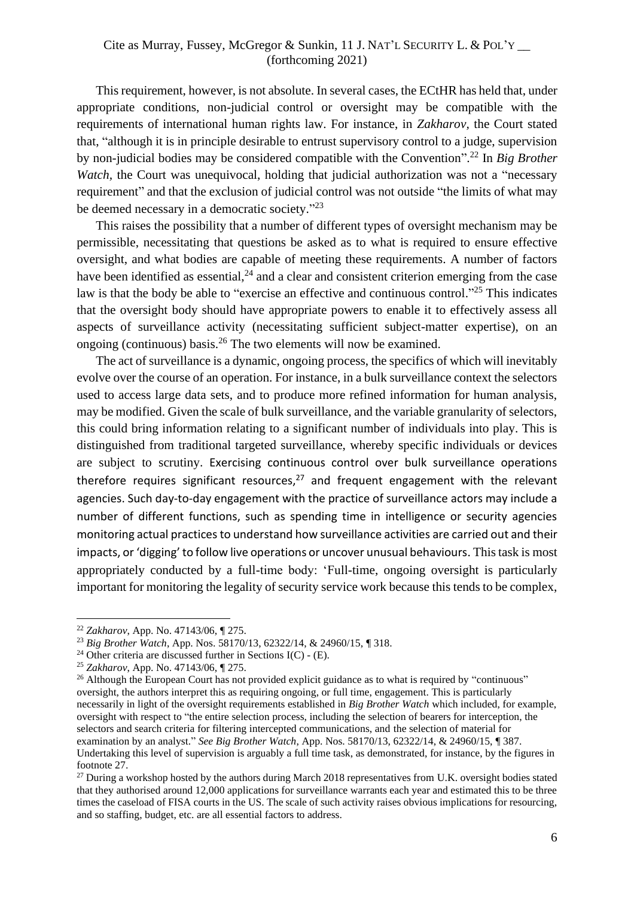This requirement, however, is not absolute. In several cases, the ECtHR has held that, under appropriate conditions, non-judicial control or oversight may be compatible with the requirements of international human rights law. For instance, in *Zakharov,* the Court stated that, "although it is in principle desirable to entrust supervisory control to a judge, supervision by non-judicial bodies may be considered compatible with the Convention". <sup>22</sup> In *Big Brother Watch*, the Court was unequivocal, holding that judicial authorization was not a "necessary" requirement" and that the exclusion of judicial control was not outside "the limits of what may be deemed necessary in a democratic society."<sup>23</sup>

This raises the possibility that a number of different types of oversight mechanism may be permissible, necessitating that questions be asked as to what is required to ensure effective oversight, and what bodies are capable of meeting these requirements. A number of factors have been identified as essential, $^{24}$  and a clear and consistent criterion emerging from the case law is that the body be able to "exercise an effective and continuous control."<sup>25</sup> This indicates that the oversight body should have appropriate powers to enable it to effectively assess all aspects of surveillance activity (necessitating sufficient subject-matter expertise), on an ongoing (continuous) basis.<sup>26</sup> The two elements will now be examined.

<span id="page-5-0"></span>The act of surveillance is a dynamic, ongoing process, the specifics of which will inevitably evolve over the course of an operation. For instance, in a bulk surveillance context the selectors used to access large data sets, and to produce more refined information for human analysis, may be modified. Given the scale of bulk surveillance, and the variable granularity of selectors, this could bring information relating to a significant number of individuals into play. This is distinguished from traditional targeted surveillance, whereby specific individuals or devices are subject to scrutiny. Exercising continuous control over bulk surveillance operations therefore requires significant resources, $27$  and frequent engagement with the relevant agencies. Such day-to-day engagement with the practice of surveillance actors may include a number of different functions, such as spending time in intelligence or security agencies monitoring actual practices to understand how surveillance activities are carried out and their impacts, or 'digging' to follow live operations or uncover unusual behaviours. This task is most appropriately conducted by a full-time body: 'Full-time, ongoing oversight is particularly important for monitoring the legality of security service work because this tends to be complex,

<sup>22</sup> *Zakharov*, App. No. 47143/06, ¶ 275.

<sup>23</sup> *Big Brother Watch*, App. Nos. 58170/13, 62322/14, & 24960/15, ¶ 318.

<sup>&</sup>lt;sup>24</sup> Other criteria are discussed further in Sections I(C) - (E).

<sup>25</sup> *Zakharov*, App. No. 47143/06, ¶ 275.

<sup>&</sup>lt;sup>26</sup> Although the European Court has not provided explicit guidance as to what is required by "continuous" oversight, the authors interpret this as requiring ongoing, or full time, engagement. This is particularly necessarily in light of the oversight requirements established in *Big Brother Watch* which included, for example, oversight with respect to "the entire selection process, including the selection of bearers for interception, the selectors and search criteria for filtering intercepted communications, and the selection of material for examination by an analyst." *See Big Brother Watch*, App. Nos. 58170/13, 62322/14, & 24960/15, ¶ 387. Undertaking this level of supervision is arguably a full time task, as demonstrated, for instance, by the figures in footnote [27.](#page-5-0)

<sup>&</sup>lt;sup>27</sup> During a workshop hosted by the authors during March 2018 representatives from U.K. oversight bodies stated that they authorised around 12,000 applications for surveillance warrants each year and estimated this to be three times the caseload of FISA courts in the US. The scale of such activity raises obvious implications for resourcing, and so staffing, budget, etc. are all essential factors to address.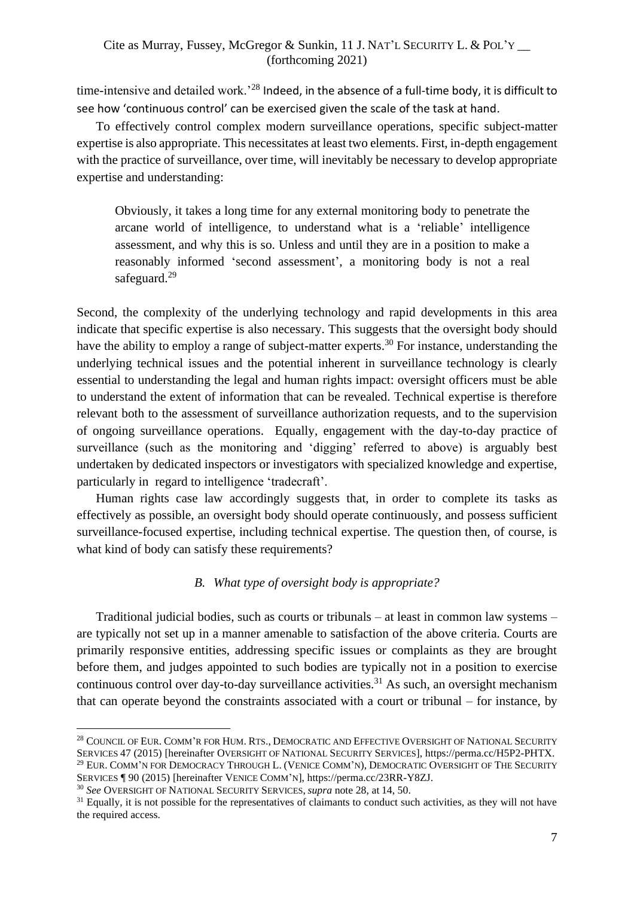time-intensive and detailed work.<sup>28</sup> Indeed, in the absence of a full-time body, it is difficult to see how 'continuous control' can be exercised given the scale of the task at hand.

To effectively control complex modern surveillance operations, specific subject-matter expertise is also appropriate. This necessitates at least two elements. First, in-depth engagement with the practice of surveillance, over time, will inevitably be necessary to develop appropriate expertise and understanding:

Obviously, it takes a long time for any external monitoring body to penetrate the arcane world of intelligence, to understand what is a 'reliable' intelligence assessment, and why this is so. Unless and until they are in a position to make a reasonably informed 'second assessment', a monitoring body is not a real safeguard.<sup>29</sup>

Second, the complexity of the underlying technology and rapid developments in this area indicate that specific expertise is also necessary. This suggests that the oversight body should have the ability to employ a range of subject-matter experts.<sup>30</sup> For instance, understanding the underlying technical issues and the potential inherent in surveillance technology is clearly essential to understanding the legal and human rights impact: oversight officers must be able to understand the extent of information that can be revealed. Technical expertise is therefore relevant both to the assessment of surveillance authorization requests, and to the supervision of ongoing surveillance operations. Equally, engagement with the day-to-day practice of surveillance (such as the monitoring and 'digging' referred to above) is arguably best undertaken by dedicated inspectors or investigators with specialized knowledge and expertise, particularly in regard to intelligence 'tradecraft'.

Human rights case law accordingly suggests that, in order to complete its tasks as effectively as possible, an oversight body should operate continuously, and possess sufficient surveillance-focused expertise, including technical expertise. The question then, of course, is what kind of body can satisfy these requirements?

#### *B. What type of oversight body is appropriate?*

<span id="page-6-0"></span>Traditional judicial bodies, such as courts or tribunals – at least in common law systems – are typically not set up in a manner amenable to satisfaction of the above criteria. Courts are primarily responsive entities, addressing specific issues or complaints as they are brought before them, and judges appointed to such bodies are typically not in a position to exercise continuous control over day-to-day surveillance activities.<sup>31</sup> As such, an oversight mechanism that can operate beyond the constraints associated with a court or tribunal – for instance, by

<sup>&</sup>lt;sup>28</sup> COUNCIL OF EUR. COMM'R FOR HUM. RTS., DEMOCRATIC AND EFFECTIVE OVERSIGHT OF NATIONAL SECURITY SERVICES 47 (2015) [hereinafter OVERSIGHT OF NATIONAL SECURITY SERVICES], https://perma.cc/H5P2-PHTX. <sup>29</sup> EUR. COMM'N FOR DEMOCRACY THROUGH L. (VENICE COMM'N), DEMOCRATIC OVERSIGHT OF THE SECURITY

SERVICES ¶ 90 (2015) [hereinafter VENICE COMM'N], https://perma.cc/23RR-Y8ZJ.

<sup>30</sup> *See* OVERSIGHT OF NATIONAL SECURITY SERVICES, *supra* note 28, at 14, 50.

<sup>&</sup>lt;sup>31</sup> Equally, it is not possible for the representatives of claimants to conduct such activities, as they will not have the required access.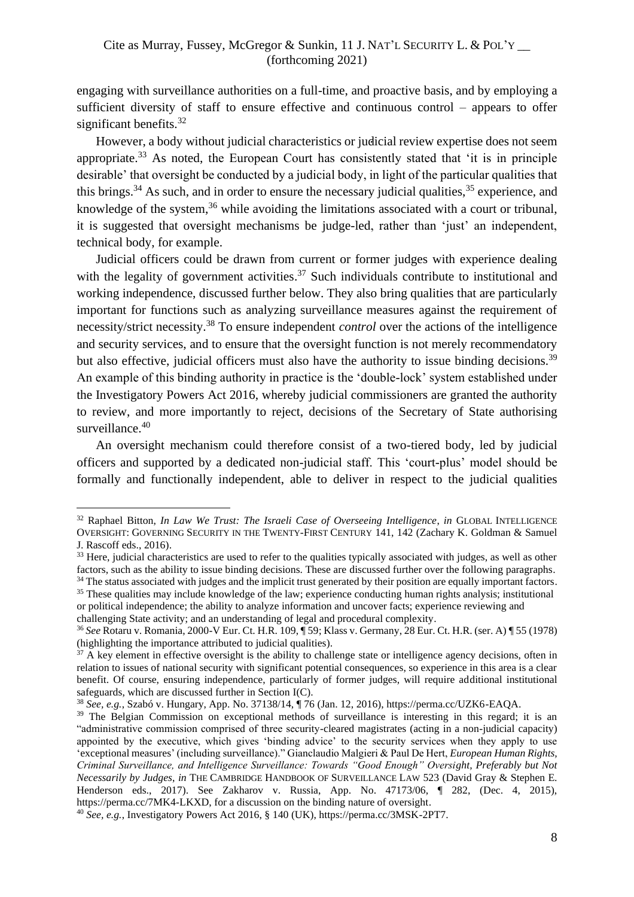engaging with surveillance authorities on a full-time, and proactive basis, and by employing a sufficient diversity of staff to ensure effective and continuous control – appears to offer significant benefits.<sup>32</sup>

However, a body without judicial characteristics or judicial review expertise does not seem appropriate.<sup>33</sup> As noted, the European Court has consistently stated that 'it is in principle desirable' that oversight be conducted by a judicial body, in light of the particular qualities that this brings.<sup>34</sup> As such, and in order to ensure the necessary judicial qualities,  $35$  experience, and knowledge of the system, $36$  while avoiding the limitations associated with a court or tribunal, it is suggested that oversight mechanisms be judge-led, rather than 'just' an independent, technical body, for example.

Judicial officers could be drawn from current or former judges with experience dealing with the legality of government activities.<sup>37</sup> Such individuals contribute to institutional and working independence, discussed further below. They also bring qualities that are particularly important for functions such as analyzing surveillance measures against the requirement of necessity/strict necessity.<sup>38</sup> To ensure independent *control* over the actions of the intelligence and security services, and to ensure that the oversight function is not merely recommendatory but also effective, judicial officers must also have the authority to issue binding decisions.<sup>39</sup> An example of this binding authority in practice is the 'double-lock' system established under the Investigatory Powers Act 2016, whereby judicial commissioners are granted the authority to review, and more importantly to reject, decisions of the Secretary of State authorising surveillance.<sup>40</sup>

An oversight mechanism could therefore consist of a two-tiered body, led by judicial officers and supported by a dedicated non-judicial staff. This 'court-plus' model should be formally and functionally independent, able to deliver in respect to the judicial qualities

challenging State activity; and an understanding of legal and procedural complexity.

<sup>32</sup> Raphael Bitton, *In Law We Trust: The Israeli Case of Overseeing Intelligence*, *in* GLOBAL INTELLIGENCE OVERSIGHT: GOVERNING SECURITY IN THE TWENTY-FIRST CENTURY 141, 142 (Zachary K. Goldman & Samuel J. Rascoff eds., 2016).

<sup>&</sup>lt;sup>33</sup> Here, judicial characteristics are used to refer to the qualities typically associated with judges, as well as other factors, such as the ability to issue binding decisions. These are discussed further over the following paragraphs.

<sup>&</sup>lt;sup>34</sup> The status associated with judges and the implicit trust generated by their position are equally important factors. <sup>35</sup> These qualities may include knowledge of the law; experience conducting human rights analysis; institutional

or political independence; the ability to analyze information and uncover facts; experience reviewing and

<sup>36</sup> *See* Rotaru v. Romania, 2000-V Eur. Ct. H.R. 109, ¶ 59; Klass v. Germany, 28 Eur. Ct. H.R. (ser. A) ¶ 55 (1978) (highlighting the importance attributed to judicial qualities).

 $37$  A key element in effective oversight is the ability to challenge state or intelligence agency decisions, often in relation to issues of national security with significant potential consequences, so experience in this area is a clear benefit. Of course, ensuring independence, particularly of former judges, will require additional institutional safeguards, which are discussed further in Section I(C).

<sup>38</sup> *See, e.g.*, Szabó v. Hungary, App. No. 37138/14, ¶ 76 (Jan. 12, 2016), https://perma.cc/UZK6-EAQA.

<sup>&</sup>lt;sup>39</sup> The Belgian Commission on exceptional methods of surveillance is interesting in this regard; it is an "administrative commission comprised of three security-cleared magistrates (acting in a non-judicial capacity) appointed by the executive, which gives 'binding advice' to the security services when they apply to use 'exceptional measures' (including surveillance)." Gianclaudio Malgieri & Paul De Hert, *European Human Rights, Criminal Surveillance, and Intelligence Surveillance: Towards "Good Enough" Oversight, Preferably but Not Necessarily by Judges*, *in* THE CAMBRIDGE HANDBOOK OF SURVEILLANCE LAW 523 (David Gray & Stephen E. Henderson eds., 2017). See Zakharov v. Russia, App. No. 47173/06, ¶ 282, (Dec. 4, 2015), https://perma.cc/7MK4-LKXD, for a discussion on the binding nature of oversight.

<sup>40</sup> *See, e.g.*, Investigatory Powers Act 2016, § 140 (UK), https://perma.cc/3MSK-2PT7.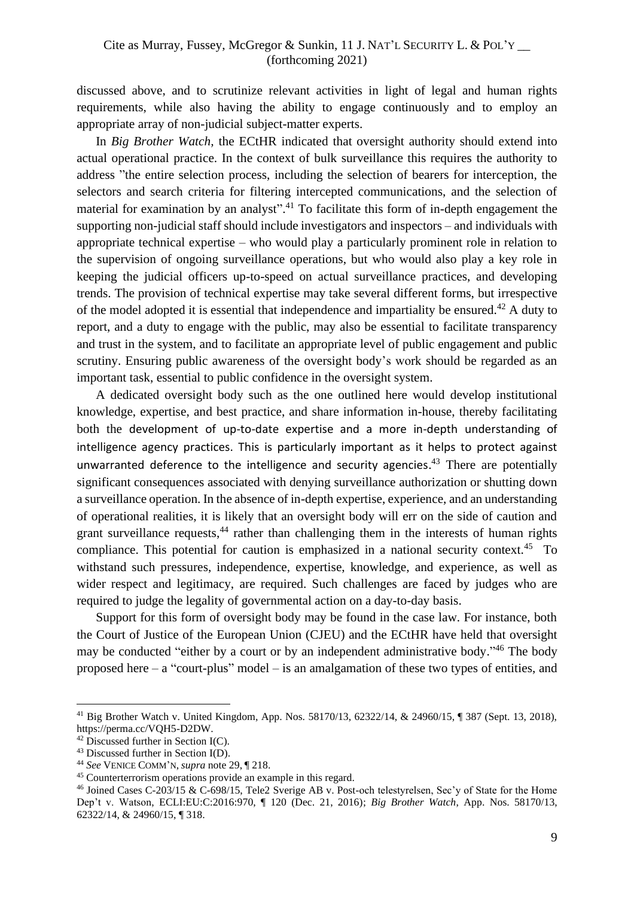discussed above, and to scrutinize relevant activities in light of legal and human rights requirements, while also having the ability to engage continuously and to employ an appropriate array of non-judicial subject-matter experts.

In *Big Brother Watch,* the ECtHR indicated that oversight authority should extend into actual operational practice. In the context of bulk surveillance this requires the authority to address "the entire selection process, including the selection of bearers for interception, the selectors and search criteria for filtering intercepted communications, and the selection of material for examination by an analyst".<sup>41</sup> To facilitate this form of in-depth engagement the supporting non-judicial staff should include investigators and inspectors – and individuals with appropriate technical expertise – who would play a particularly prominent role in relation to the supervision of ongoing surveillance operations, but who would also play a key role in keeping the judicial officers up-to-speed on actual surveillance practices, and developing trends. The provision of technical expertise may take several different forms, but irrespective of the model adopted it is essential that independence and impartiality be ensured.<sup>42</sup> A duty to report, and a duty to engage with the public, may also be essential to facilitate transparency and trust in the system, and to facilitate an appropriate level of public engagement and public scrutiny. Ensuring public awareness of the oversight body's work should be regarded as an important task, essential to public confidence in the oversight system.

A dedicated oversight body such as the one outlined here would develop institutional knowledge, expertise, and best practice, and share information in-house, thereby facilitating both the development of up-to-date expertise and a more in-depth understanding of intelligence agency practices. This is particularly important as it helps to protect against unwarranted deference to the intelligence and security agencies.<sup>43</sup> There are potentially significant consequences associated with denying surveillance authorization or shutting down a surveillance operation. In the absence of in-depth expertise, experience, and an understanding of operational realities, it is likely that an oversight body will err on the side of caution and grant surveillance requests,<sup>44</sup> rather than challenging them in the interests of human rights compliance. This potential for caution is emphasized in a national security context.<sup>45</sup> To withstand such pressures, independence, expertise, knowledge, and experience, as well as wider respect and legitimacy, are required. Such challenges are faced by judges who are required to judge the legality of governmental action on a day-to-day basis.

Support for this form of oversight body may be found in the case law. For instance, both the Court of Justice of the European Union (CJEU) and the ECtHR have held that oversight may be conducted "either by a court or by an independent administrative body."<sup>46</sup> The body proposed here – a "court-plus" model – is an amalgamation of these two types of entities, and

<sup>41</sup> Big Brother Watch v. United Kingdom, App. Nos. 58170/13, 62322/14, & 24960/15, ¶ 387 (Sept. 13, 2018), https://perma.cc/VQH5-D2DW.

 $42$  Discussed further in Section I(C).

<sup>43</sup> Discussed further in Section I(D).

<sup>44</sup> *See* VENICE COMM'N, *supra* note 29, ¶ 218.

<sup>45</sup> Counterterrorism operations provide an example in this regard.

<sup>46</sup> Joined Cases C-203/15 & C-698/15, Tele2 Sverige AB v. Post-och telestyrelsen, Sec'y of State for the Home Dep't v. Watson, ECLI:EU:C:2016:970, ¶ 120 (Dec. 21, 2016); *Big Brother Watch*, App. Nos. 58170/13, 62322/14, & 24960/15, ¶ 318.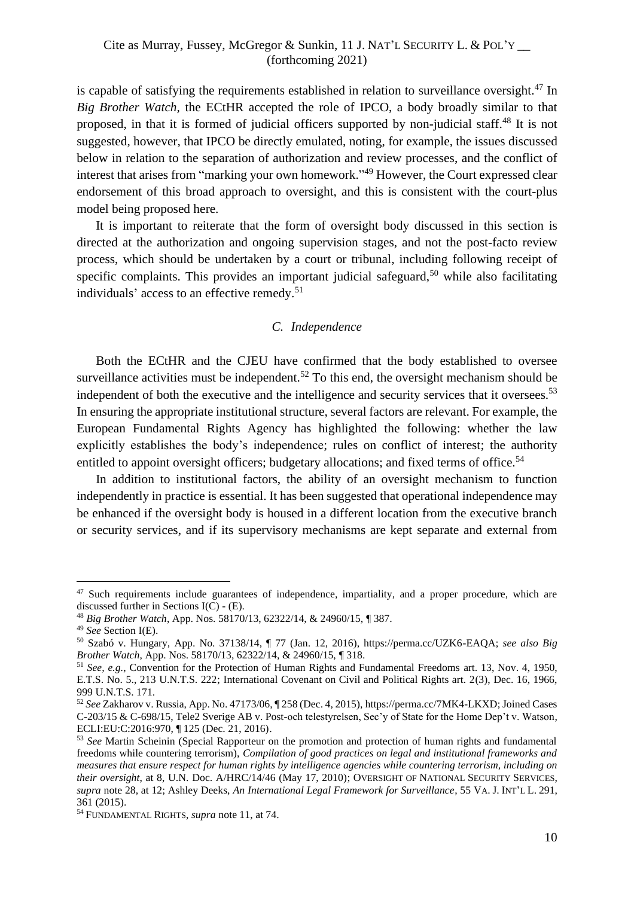is capable of satisfying the requirements established in relation to surveillance oversight. <sup>47</sup> In *Big Brother Watch,* the ECtHR accepted the role of IPCO, a body broadly similar to that proposed, in that it is formed of judicial officers supported by non-judicial staff.<sup>48</sup> It is not suggested, however, that IPCO be directly emulated, noting, for example, the issues discussed below in relation to the separation of authorization and review processes, and the conflict of interest that arises from "marking your own homework." <sup>49</sup> However, the Court expressed clear endorsement of this broad approach to oversight, and this is consistent with the court-plus model being proposed here.

It is important to reiterate that the form of oversight body discussed in this section is directed at the authorization and ongoing supervision stages, and not the post-facto review process, which should be undertaken by a court or tribunal, including following receipt of specific complaints. This provides an important judicial safeguard,<sup>50</sup> while also facilitating individuals' access to an effective remedy.<sup>51</sup>

# *C. Independence*

<span id="page-9-0"></span>Both the ECtHR and the CJEU have confirmed that the body established to oversee surveillance activities must be independent.<sup>52</sup> To this end, the oversight mechanism should be independent of both the executive and the intelligence and security services that it oversees.<sup>53</sup> In ensuring the appropriate institutional structure, several factors are relevant. For example, the European Fundamental Rights Agency has highlighted the following: whether the law explicitly establishes the body's independence; rules on conflict of interest; the authority entitled to appoint oversight officers; budgetary allocations; and fixed terms of office.<sup>54</sup>

In addition to institutional factors, the ability of an oversight mechanism to function independently in practice is essential. It has been suggested that operational independence may be enhanced if the oversight body is housed in a different location from the executive branch or security services, and if its supervisory mechanisms are kept separate and external from

<sup>&</sup>lt;sup>47</sup> Such requirements include guarantees of independence, impartiality, and a proper procedure, which are discussed further in Sections  $I(\overline{C}) - (E)$ .

<sup>48</sup> *Big Brother Watch*, App. Nos. 58170/13, 62322/14, & 24960/15, ¶ 387.

<sup>49</sup> *See* Section I(E).

<sup>50</sup> Szabó v. Hungary, App. No. 37138/14, ¶ 77 (Jan. 12, 2016), https://perma.cc/UZK6-EAQA; *see also Big Brother Watch*, App. Nos. 58170/13, 62322/14, & 24960/15, ¶ 318.

<sup>51</sup> *See, e.g.*, Convention for the Protection of Human Rights and Fundamental Freedoms art. 13, Nov. 4, 1950, E.T.S. No. 5., 213 U.N.T.S. 222; International Covenant on Civil and Political Rights art. 2(3), Dec. 16, 1966, 999 U.N.T.S. 171.

<sup>52</sup> *See* Zakharov v. Russia, App. No. 47173/06, ¶ 258 (Dec. 4, 2015), https://perma.cc/7MK4-LKXD; Joined Cases C-203/15 & C-698/15, Tele2 Sverige AB v. Post-och telestyrelsen, Sec'y of State for the Home Dep't v. Watson, ECLI:EU:C:2016:970, ¶ 125 (Dec. 21, 2016).

<sup>53</sup> *See* Martin Scheinin (Special Rapporteur on the promotion and protection of human rights and fundamental freedoms while countering terrorism), *Compilation of good practices on legal and institutional frameworks and measures that ensure respect for human rights by intelligence agencies while countering terrorism, including on their oversight*, at 8, U.N. Doc. A/HRC/14/46 (May 17, 2010); OVERSIGHT OF NATIONAL SECURITY SERVICES, *supra* note 28, at 12; Ashley Deeks, *An International Legal Framework for Surveillance*, 55 VA. J. INT'L L. 291, 361 (2015).

<sup>54</sup> FUNDAMENTAL RIGHTS, *supra* note 11, at 74.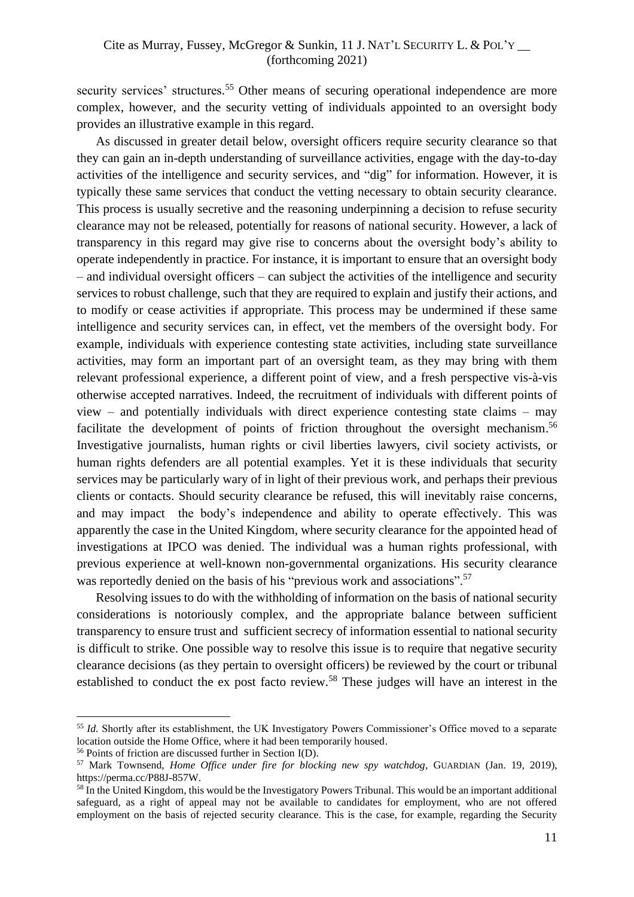security services' structures.<sup>55</sup> Other means of securing operational independence are more complex, however, and the security vetting of individuals appointed to an oversight body provides an illustrative example in this regard.

As discussed in greater detail below, oversight officers require security clearance so that they can gain an in-depth understanding of surveillance activities, engage with the day-to-day activities of the intelligence and security services, and "dig" for information. However, it is typically these same services that conduct the vetting necessary to obtain security clearance. This process is usually secretive and the reasoning underpinning a decision to refuse security clearance may not be released, potentially for reasons of national security. However, a lack of transparency in this regard may give rise to concerns about the oversight body's ability to operate independently in practice. For instance, it is important to ensure that an oversight body – and individual oversight officers – can subject the activities of the intelligence and security services to robust challenge, such that they are required to explain and justify their actions, and to modify or cease activities if appropriate. This process may be undermined if these same intelligence and security services can, in effect, vet the members of the oversight body. For example, individuals with experience contesting state activities, including state surveillance activities, may form an important part of an oversight team, as they may bring with them relevant professional experience, a different point of view, and a fresh perspective vis-à-vis otherwise accepted narratives. Indeed, the recruitment of individuals with different points of view – and potentially individuals with direct experience contesting state claims – may facilitate the development of points of friction throughout the oversight mechanism.<sup>56</sup> Investigative journalists, human rights or civil liberties lawyers, civil society activists, or human rights defenders are all potential examples. Yet it is these individuals that security services may be particularly wary of in light of their previous work, and perhaps their previous clients or contacts. Should security clearance be refused, this will inevitably raise concerns, and may impact the body's independence and ability to operate effectively. This was apparently the case in the United Kingdom, where security clearance for the appointed head of investigations at IPCO was denied. The individual was a human rights professional, with previous experience at well-known non-governmental organizations. His security clearance was reportedly denied on the basis of his "previous work and associations".<sup>57</sup>

Resolving issues to do with the withholding of information on the basis of national security considerations is notoriously complex, and the appropriate balance between sufficient transparency to ensure trust and sufficient secrecy of information essential to national security is difficult to strike. One possible way to resolve this issue is to require that negative security clearance decisions (as they pertain to oversight officers) be reviewed by the court or tribunal established to conduct the ex post facto review.<sup>58</sup> These judges will have an interest in the

<sup>&</sup>lt;sup>55</sup> *Id.* Shortly after its establishment, the UK Investigatory Powers Commissioner's Office moved to a separate location outside the Home Office, where it had been temporarily housed.

<sup>56</sup> Points of friction are discussed further in Section I(D).

<sup>57</sup> Mark Townsend, *Home Office under fire for blocking new spy watchdog*, GUARDIAN (Jan. 19, 2019), https://perma.cc/P88J-857W.

<sup>&</sup>lt;sup>58</sup> In the United Kingdom, this would be the Investigatory Powers Tribunal. This would be an important additional safeguard, as a right of appeal may not be available to candidates for employment, who are not offered employment on the basis of rejected security clearance. This is the case, for example, regarding the Security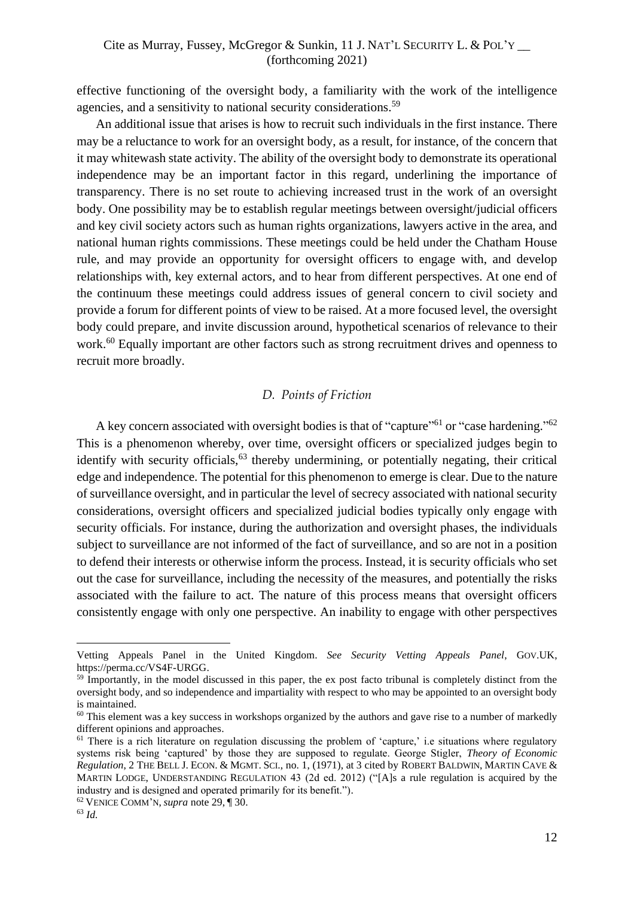effective functioning of the oversight body, a familiarity with the work of the intelligence agencies, and a sensitivity to national security considerations.<sup>59</sup>

An additional issue that arises is how to recruit such individuals in the first instance. There may be a reluctance to work for an oversight body, as a result, for instance, of the concern that it may whitewash state activity. The ability of the oversight body to demonstrate its operational independence may be an important factor in this regard, underlining the importance of transparency. There is no set route to achieving increased trust in the work of an oversight body. One possibility may be to establish regular meetings between oversight/judicial officers and key civil society actors such as human rights organizations, lawyers active in the area, and national human rights commissions. These meetings could be held under the Chatham House rule, and may provide an opportunity for oversight officers to engage with, and develop relationships with, key external actors, and to hear from different perspectives. At one end of the continuum these meetings could address issues of general concern to civil society and provide a forum for different points of view to be raised. At a more focused level, the oversight body could prepare, and invite discussion around, hypothetical scenarios of relevance to their work.<sup>60</sup> Equally important are other factors such as strong recruitment drives and openness to recruit more broadly.

# *D. Points of Friction*

<span id="page-11-0"></span>A key concern associated with oversight bodies is that of "capture"<sup>61</sup> or "case hardening."<sup>62</sup> This is a phenomenon whereby, over time, oversight officers or specialized judges begin to identify with security officials,  $63$  thereby undermining, or potentially negating, their critical edge and independence. The potential for this phenomenon to emerge is clear. Due to the nature of surveillance oversight, and in particular the level of secrecy associated with national security considerations, oversight officers and specialized judicial bodies typically only engage with security officials. For instance, during the authorization and oversight phases, the individuals subject to surveillance are not informed of the fact of surveillance, and so are not in a position to defend their interests or otherwise inform the process. Instead, it is security officials who set out the case for surveillance, including the necessity of the measures, and potentially the risks associated with the failure to act. The nature of this process means that oversight officers consistently engage with only one perspective. An inability to engage with other perspectives

Vetting Appeals Panel in the United Kingdom. *See Security Vetting Appeals Panel*, GOV.UK, https://perma.cc/VS4F-URGG.

<sup>&</sup>lt;sup>59</sup> Importantly, in the model discussed in this paper, the ex post facto tribunal is completely distinct from the oversight body, and so independence and impartiality with respect to who may be appointed to an oversight body is maintained.

<sup>&</sup>lt;sup>60</sup> This element was a key success in workshops organized by the authors and gave rise to a number of markedly different opinions and approaches.

 $61$  There is a rich literature on regulation discussing the problem of 'capture,' i.e situations where regulatory systems risk being 'captured' by those they are supposed to regulate. George Stigler, *Theory of Economic Regulation*, 2 THE BELL J. ECON. & MGMT. SCI., no. 1, (1971), at 3 cited by ROBERT BALDWIN, MARTIN CAVE & MARTIN LODGE, UNDERSTANDING REGULATION 43 (2d ed. 2012) ("[A]s a rule regulation is acquired by the industry and is designed and operated primarily for its benefit.").

<sup>62</sup> VENICE COMM'N, *supra* note 29, ¶ 30.

<sup>63</sup> *Id.*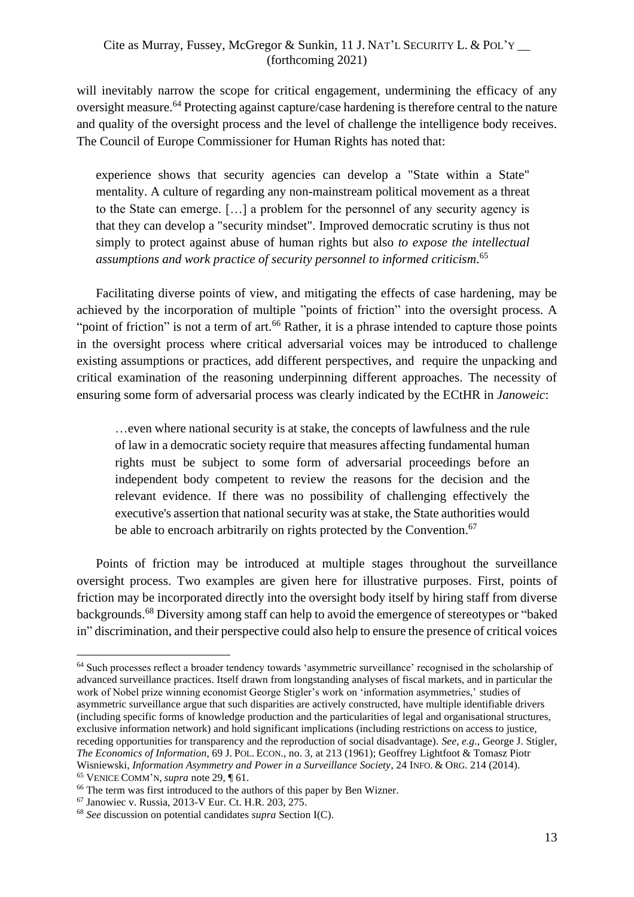will inevitably narrow the scope for critical engagement, undermining the efficacy of any oversight measure. <sup>64</sup> Protecting against capture/case hardening is therefore central to the nature and quality of the oversight process and the level of challenge the intelligence body receives. The Council of Europe Commissioner for Human Rights has noted that:

experience shows that security agencies can develop a "State within a State" mentality. A culture of regarding any non-mainstream political movement as a threat to the State can emerge. […] a problem for the personnel of any security agency is that they can develop a "security mindset". Improved democratic scrutiny is thus not simply to protect against abuse of human rights but also *to expose the intellectual assumptions and work practice of security personnel to informed criticism*. 65

Facilitating diverse points of view, and mitigating the effects of case hardening, may be achieved by the incorporation of multiple "points of friction" into the oversight process. A "point of friction" is not a term of art.<sup>66</sup> Rather, it is a phrase intended to capture those points in the oversight process where critical adversarial voices may be introduced to challenge existing assumptions or practices, add different perspectives, and require the unpacking and critical examination of the reasoning underpinning different approaches. The necessity of ensuring some form of adversarial process was clearly indicated by the ECtHR in *Janoweic*:

…even where national security is at stake, the concepts of lawfulness and the rule of law in a democratic society require that measures affecting fundamental human rights must be subject to some form of adversarial proceedings before an independent body competent to review the reasons for the decision and the relevant evidence. If there was no possibility of challenging effectively the executive's assertion that national security was at stake, the State authorities would be able to encroach arbitrarily on rights protected by the Convention.<sup>67</sup>

Points of friction may be introduced at multiple stages throughout the surveillance oversight process. Two examples are given here for illustrative purposes. First, points of friction may be incorporated directly into the oversight body itself by hiring staff from diverse backgrounds.<sup>68</sup> Diversity among staff can help to avoid the emergence of stereotypes or "baked in" discrimination, and their perspective could also help to ensure the presence of critical voices

<sup>64</sup> Such processes reflect a broader tendency towards 'asymmetric surveillance' recognised in the scholarship of advanced surveillance practices. Itself drawn from longstanding analyses of fiscal markets, and in particular the work of Nobel prize winning economist George Stigler's work on 'information asymmetries,' studies of asymmetric surveillance argue that such disparities are actively constructed, have multiple identifiable drivers (including specific forms of knowledge production and the particularities of legal and organisational structures, exclusive information network) and hold significant implications (including restrictions on access to justice, receding opportunities for transparency and the reproduction of social disadvantage). *See, e.g*., George J. Stigler, *The Economics of Information*, 69 J. POL. ECON., no. 3, at 213 (1961); Geoffrey Lightfoot & Tomasz Piotr Wisniewski, *Information Asymmetry and Power in a Surveillance Society*, 24 INFO. & ORG. 214 (2014). <sup>65</sup> VENICE COMM'N, *supra* note 29, ¶ 61.

<sup>&</sup>lt;sup>66</sup> The term was first introduced to the authors of this paper by Ben Wizner.

<sup>67</sup> Janowiec v. Russia, 2013-V Eur. Ct. H.R. 203, 275.

<sup>68</sup> *See* discussion on potential candidates *supra* Section I(C).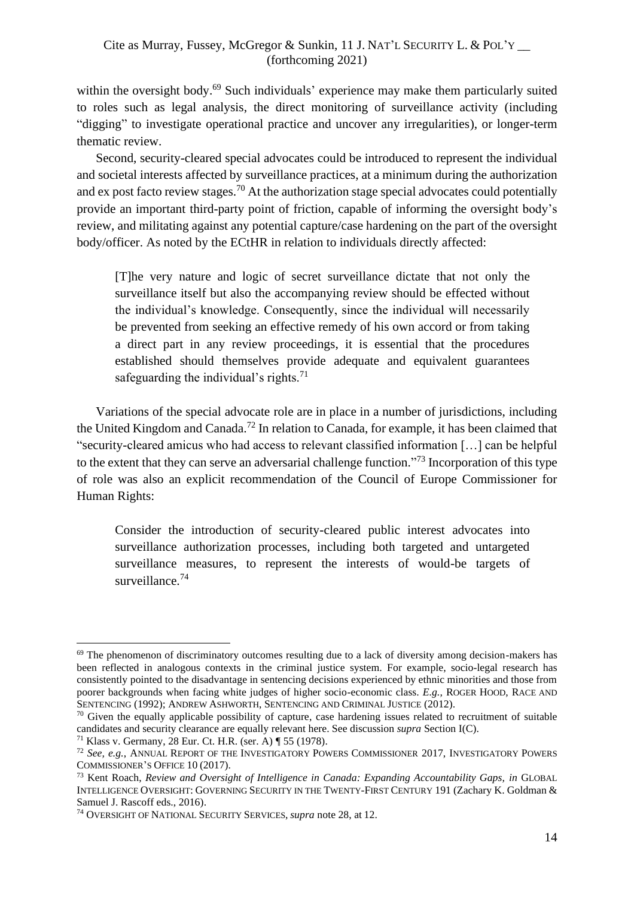within the oversight body.<sup>69</sup> Such individuals' experience may make them particularly suited to roles such as legal analysis, the direct monitoring of surveillance activity (including "digging" to investigate operational practice and uncover any irregularities), or longer-term thematic review.

Second, security-cleared special advocates could be introduced to represent the individual and societal interests affected by surveillance practices, at a minimum during the authorization and ex post facto review stages.<sup>70</sup> At the authorization stage special advocates could potentially provide an important third-party point of friction, capable of informing the oversight body's review, and militating against any potential capture/case hardening on the part of the oversight body/officer. As noted by the ECtHR in relation to individuals directly affected:

[T]he very nature and logic of secret surveillance dictate that not only the surveillance itself but also the accompanying review should be effected without the individual's knowledge. Consequently, since the individual will necessarily be prevented from seeking an effective remedy of his own accord or from taking a direct part in any review proceedings, it is essential that the procedures established should themselves provide adequate and equivalent guarantees safeguarding the individual's rights.<sup>71</sup>

Variations of the special advocate role are in place in a number of jurisdictions, including the United Kingdom and Canada.<sup>72</sup> In relation to Canada, for example, it has been claimed that "security-cleared amicus who had access to relevant classified information […] can be helpful to the extent that they can serve an adversarial challenge function."<sup>73</sup> Incorporation of this type of role was also an explicit recommendation of the Council of Europe Commissioner for Human Rights:

Consider the introduction of security-cleared public interest advocates into surveillance authorization processes, including both targeted and untargeted surveillance measures, to represent the interests of would-be targets of surveillance.<sup>74</sup>

<sup>&</sup>lt;sup>69</sup> The phenomenon of discriminatory outcomes resulting due to a lack of diversity among decision-makers has been reflected in analogous contexts in the criminal justice system. For example, socio-legal research has consistently pointed to the disadvantage in sentencing decisions experienced by ethnic minorities and those from poorer backgrounds when facing white judges of higher socio-economic class. *E.g.,* ROGER HOOD, RACE AND SENTENCING (1992); ANDREW ASHWORTH, SENTENCING AND CRIMINAL JUSTICE (2012).

 $70$  Given the equally applicable possibility of capture, case hardening issues related to recruitment of suitable candidates and security clearance are equally relevant here. See discussion *supra* Section I(C).

<sup>71</sup> Klass v. Germany, 28 Eur. Ct. H.R. (ser. A) ¶ 55 (1978).

<sup>72</sup> *See, e.g.*, ANNUAL REPORT OF THE INVESTIGATORY POWERS COMMISSIONER 2017, INVESTIGATORY POWERS COMMISSIONER'S OFFICE 10 (2017).

<sup>73</sup> Kent Roach, *Review and Oversight of Intelligence in Canada: Expanding Accountability Gaps, in* GLOBAL INTELLIGENCE OVERSIGHT: GOVERNING SECURITY IN THE TWENTY-FIRST CENTURY 191 (Zachary K. Goldman & Samuel J. Rascoff eds., 2016).

<sup>74</sup> OVERSIGHT OF NATIONAL SECURITY SERVICES, *supra* note 28, at 12.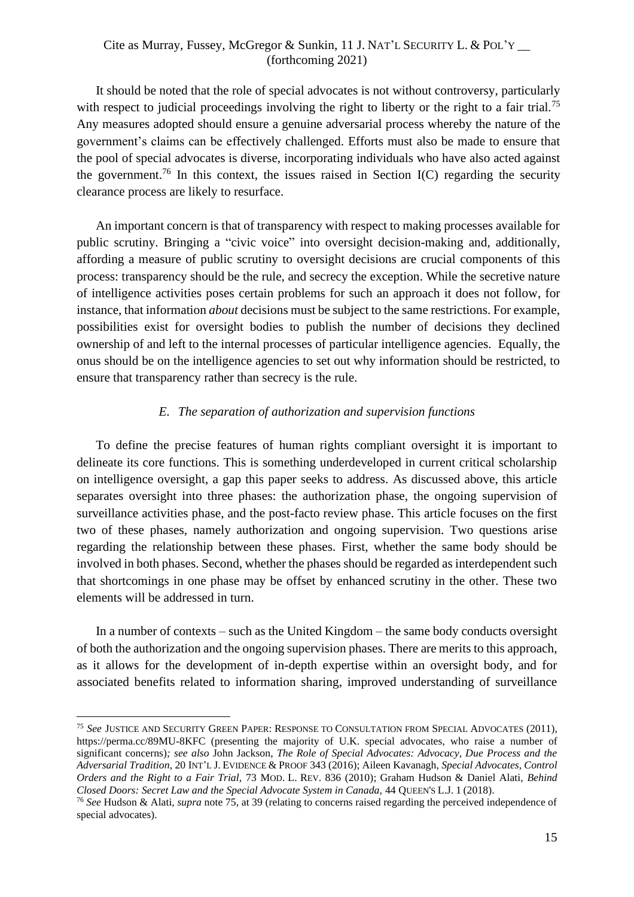It should be noted that the role of special advocates is not without controversy, particularly with respect to judicial proceedings involving the right to liberty or the right to a fair trial.<sup>75</sup> Any measures adopted should ensure a genuine adversarial process whereby the nature of the government's claims can be effectively challenged. Efforts must also be made to ensure that the pool of special advocates is diverse, incorporating individuals who have also acted against the government.<sup>76</sup> In this context, the issues raised in Section I(C) regarding the security clearance process are likely to resurface.

An important concern is that of transparency with respect to making processes available for public scrutiny. Bringing a "civic voice" into oversight decision-making and, additionally, affording a measure of public scrutiny to oversight decisions are crucial components of this process: transparency should be the rule, and secrecy the exception. While the secretive nature of intelligence activities poses certain problems for such an approach it does not follow, for instance, that information *about* decisions must be subject to the same restrictions. For example, possibilities exist for oversight bodies to publish the number of decisions they declined ownership of and left to the internal processes of particular intelligence agencies. Equally, the onus should be on the intelligence agencies to set out why information should be restricted, to ensure that transparency rather than secrecy is the rule.

## *E. The separation of authorization and supervision functions*

<span id="page-14-0"></span>To define the precise features of human rights compliant oversight it is important to delineate its core functions. This is something underdeveloped in current critical scholarship on intelligence oversight, a gap this paper seeks to address. As discussed above, this article separates oversight into three phases: the authorization phase, the ongoing supervision of surveillance activities phase, and the post-facto review phase. This article focuses on the first two of these phases, namely authorization and ongoing supervision. Two questions arise regarding the relationship between these phases. First, whether the same body should be involved in both phases. Second, whether the phases should be regarded as interdependent such that shortcomings in one phase may be offset by enhanced scrutiny in the other. These two elements will be addressed in turn.

In a number of contexts – such as the United Kingdom – the same body conducts oversight of both the authorization and the ongoing supervision phases. There are merits to this approach, as it allows for the development of in-depth expertise within an oversight body, and for associated benefits related to information sharing, improved understanding of surveillance

<sup>75</sup> *See* JUSTICE AND SECURITY GREEN PAPER: RESPONSE TO CONSULTATION FROM SPECIAL ADVOCATES (2011), https://perma.cc/89MU-8KFC (presenting the majority of U.K. special advocates, who raise a number of significant concerns)*; see also* John Jackson, *The Role of Special Advocates: Advocacy, Due Process and the Adversarial Tradition*, 20 INT'L J. EVIDENCE & PROOF 343 (2016); Aileen Kavanagh, *Special Advocates, Control Orders and the Right to a Fair Trial,* 73 MOD. L. REV. 836 (2010); Graham Hudson & Daniel Alati, *Behind Closed Doors: Secret Law and the Special Advocate System in Canada,* 44 QUEEN'S L.J. 1 (2018).

<sup>76</sup> *See* Hudson & Alati, *supra* note 75*,* at 39 (relating to concerns raised regarding the perceived independence of special advocates).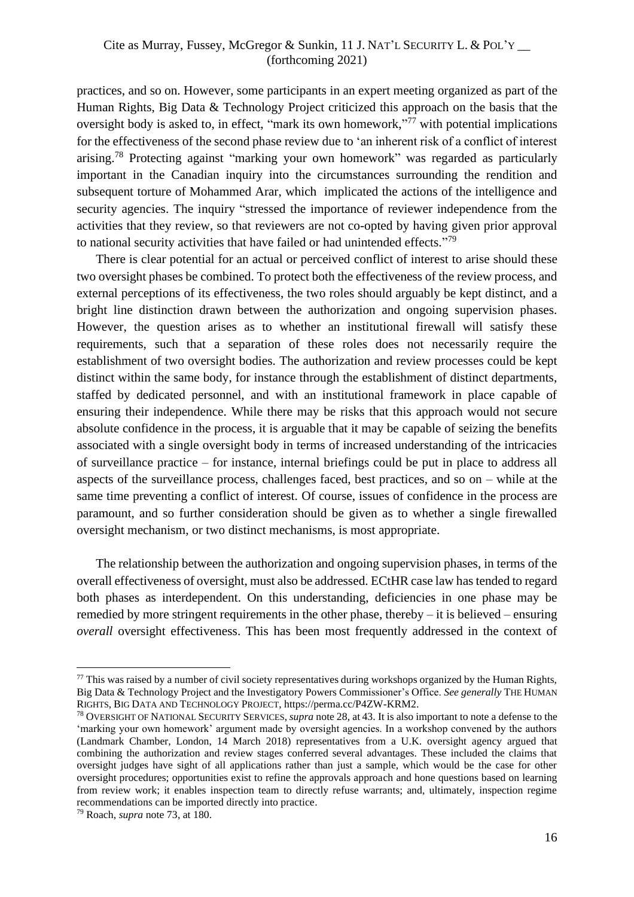practices, and so on. However, some participants in an expert meeting organized as part of the Human Rights, Big Data & Technology Project criticized this approach on the basis that the oversight body is asked to, in effect, "mark its own homework,"<sup>77</sup> with potential implications for the effectiveness of the second phase review due to 'an inherent risk of a conflict of interest arising.<sup>78</sup> Protecting against "marking your own homework" was regarded as particularly important in the Canadian inquiry into the circumstances surrounding the rendition and subsequent torture of Mohammed Arar, which implicated the actions of the intelligence and security agencies. The inquiry "stressed the importance of reviewer independence from the activities that they review, so that reviewers are not co-opted by having given prior approval to national security activities that have failed or had unintended effects."<sup>79</sup>

There is clear potential for an actual or perceived conflict of interest to arise should these two oversight phases be combined. To protect both the effectiveness of the review process, and external perceptions of its effectiveness, the two roles should arguably be kept distinct, and a bright line distinction drawn between the authorization and ongoing supervision phases. However, the question arises as to whether an institutional firewall will satisfy these requirements, such that a separation of these roles does not necessarily require the establishment of two oversight bodies. The authorization and review processes could be kept distinct within the same body, for instance through the establishment of distinct departments, staffed by dedicated personnel, and with an institutional framework in place capable of ensuring their independence. While there may be risks that this approach would not secure absolute confidence in the process, it is arguable that it may be capable of seizing the benefits associated with a single oversight body in terms of increased understanding of the intricacies of surveillance practice – for instance, internal briefings could be put in place to address all aspects of the surveillance process, challenges faced, best practices, and so on – while at the same time preventing a conflict of interest. Of course, issues of confidence in the process are paramount, and so further consideration should be given as to whether a single firewalled oversight mechanism, or two distinct mechanisms, is most appropriate.

The relationship between the authorization and ongoing supervision phases, in terms of the overall effectiveness of oversight, must also be addressed. ECtHR case law has tended to regard both phases as interdependent. On this understanding, deficiencies in one phase may be remedied by more stringent requirements in the other phase, thereby – it is believed – ensuring *overall* oversight effectiveness. This has been most frequently addressed in the context of

<sup>&</sup>lt;sup>77</sup> This was raised by a number of civil society representatives during workshops organized by the Human Rights, Big Data & Technology Project and the Investigatory Powers Commissioner's Office. *See generally* THE HUMAN RIGHTS, BIG DATA AND TECHNOLOGY PROJECT, https://perma.cc/P4ZW-KRM2.

<sup>78</sup> OVERSIGHT OF NATIONAL SECURITY SERVICES, *supra* note 28, at 43. It is also important to note a defense to the 'marking your own homework' argument made by oversight agencies. In a workshop convened by the authors (Landmark Chamber, London, 14 March 2018) representatives from a U.K. oversight agency argued that combining the authorization and review stages conferred several advantages. These included the claims that oversight judges have sight of all applications rather than just a sample, which would be the case for other oversight procedures; opportunities exist to refine the approvals approach and hone questions based on learning from review work; it enables inspection team to directly refuse warrants; and, ultimately, inspection regime recommendations can be imported directly into practice.

<sup>79</sup> Roach, *supra* note 73, at 180.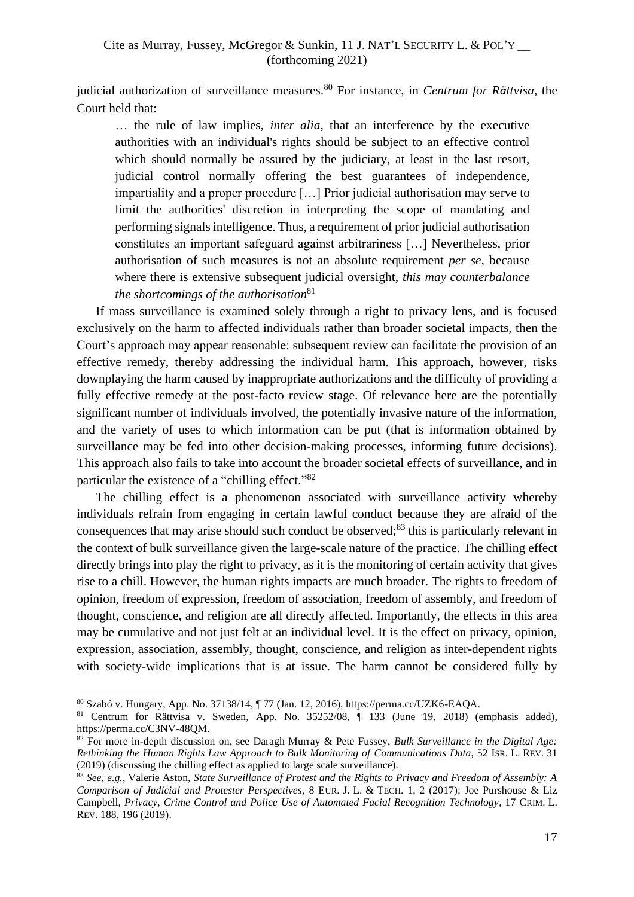judicial authorization of surveillance measures.<sup>80</sup> For instance, in *Centrum for Rättvisa*, the Court held that:

… the rule of law implies, *inter alia*, that an interference by the executive authorities with an individual's rights should be subject to an effective control which should normally be assured by the judiciary, at least in the last resort, judicial control normally offering the best guarantees of independence, impartiality and a proper procedure […] Prior judicial authorisation may serve to limit the authorities' discretion in interpreting the scope of mandating and performing signals intelligence. Thus, a requirement of prior judicial authorisation constitutes an important safeguard against arbitrariness […] Nevertheless, prior authorisation of such measures is not an absolute requirement *per se*, because where there is extensive subsequent judicial oversight, *this may counterbalance the shortcomings of the authorisation* 81

If mass surveillance is examined solely through a right to privacy lens, and is focused exclusively on the harm to affected individuals rather than broader societal impacts, then the Court's approach may appear reasonable: subsequent review can facilitate the provision of an effective remedy, thereby addressing the individual harm. This approach, however, risks downplaying the harm caused by inappropriate authorizations and the difficulty of providing a fully effective remedy at the post-facto review stage. Of relevance here are the potentially significant number of individuals involved, the potentially invasive nature of the information, and the variety of uses to which information can be put (that is information obtained by surveillance may be fed into other decision-making processes, informing future decisions). This approach also fails to take into account the broader societal effects of surveillance, and in particular the existence of a "chilling effect."<sup>82</sup>

The chilling effect is a phenomenon associated with surveillance activity whereby individuals refrain from engaging in certain lawful conduct because they are afraid of the consequences that may arise should such conduct be observed; $83$  this is particularly relevant in the context of bulk surveillance given the large-scale nature of the practice. The chilling effect directly brings into play the right to privacy, as it is the monitoring of certain activity that gives rise to a chill. However, the human rights impacts are much broader. The rights to freedom of opinion, freedom of expression, freedom of association, freedom of assembly, and freedom of thought, conscience, and religion are all directly affected. Importantly, the effects in this area may be cumulative and not just felt at an individual level. It is the effect on privacy, opinion, expression, association, assembly, thought, conscience, and religion as inter-dependent rights with society-wide implications that is at issue. The harm cannot be considered fully by

<sup>80</sup> Szabó v. Hungary, App. No. 37138/14, ¶ 77 (Jan. 12, 2016), https://perma.cc/UZK6-EAQA.

<sup>81</sup> Centrum for Rättvisa v. Sweden, App. No. 35252/08, ¶ 133 (June 19, 2018) (emphasis added), https://perma.cc/C3NV-48QM.

<sup>82</sup> For more in-depth discussion on, see Daragh Murray & Pete Fussey, *Bulk Surveillance in the Digital Age: Rethinking the Human Rights Law Approach to Bulk Monitoring of Communications Data*, 52 ISR. L. REV. 31 (2019) (discussing the chilling effect as applied to large scale surveillance).

<sup>83</sup> *See, e.g.*, Valerie Aston, *State Surveillance of Protest and the Rights to Privacy and Freedom of Assembly: A Comparison of Judicial and Protester Perspectives,* 8 EUR. J. L. & TECH. 1, 2 (2017); Joe Purshouse & Liz Campbell, *Privacy, Crime Control and Police Use of Automated Facial Recognition Technology*, 17 CRIM. L. REV. 188, 196 (2019).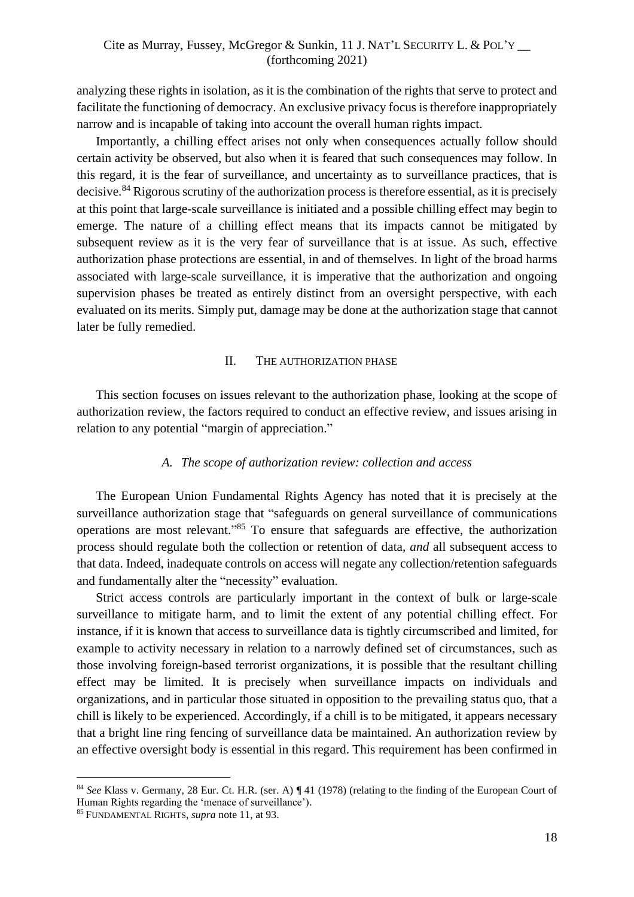analyzing these rights in isolation, as it is the combination of the rights that serve to protect and facilitate the functioning of democracy. An exclusive privacy focus is therefore inappropriately narrow and is incapable of taking into account the overall human rights impact.

Importantly, a chilling effect arises not only when consequences actually follow should certain activity be observed, but also when it is feared that such consequences may follow. In this regard, it is the fear of surveillance, and uncertainty as to surveillance practices, that is decisive.<sup>84</sup> Rigorous scrutiny of the authorization process is therefore essential, as it is precisely at this point that large-scale surveillance is initiated and a possible chilling effect may begin to emerge. The nature of a chilling effect means that its impacts cannot be mitigated by subsequent review as it is the very fear of surveillance that is at issue. As such, effective authorization phase protections are essential, in and of themselves. In light of the broad harms associated with large-scale surveillance, it is imperative that the authorization and ongoing supervision phases be treated as entirely distinct from an oversight perspective, with each evaluated on its merits. Simply put, damage may be done at the authorization stage that cannot later be fully remedied.

#### II. THE AUTHORIZATION PHASE

<span id="page-17-0"></span>This section focuses on issues relevant to the authorization phase, looking at the scope of authorization review, the factors required to conduct an effective review, and issues arising in relation to any potential "margin of appreciation."

#### *A. The scope of authorization review: collection and access*

<span id="page-17-1"></span>The European Union Fundamental Rights Agency has noted that it is precisely at the surveillance authorization stage that "safeguards on general surveillance of communications operations are most relevant." <sup>85</sup> To ensure that safeguards are effective, the authorization process should regulate both the collection or retention of data, *and* all subsequent access to that data. Indeed, inadequate controls on access will negate any collection/retention safeguards and fundamentally alter the "necessity" evaluation.

Strict access controls are particularly important in the context of bulk or large-scale surveillance to mitigate harm, and to limit the extent of any potential chilling effect. For instance, if it is known that access to surveillance data is tightly circumscribed and limited, for example to activity necessary in relation to a narrowly defined set of circumstances, such as those involving foreign-based terrorist organizations, it is possible that the resultant chilling effect may be limited. It is precisely when surveillance impacts on individuals and organizations, and in particular those situated in opposition to the prevailing status quo, that a chill is likely to be experienced. Accordingly, if a chill is to be mitigated, it appears necessary that a bright line ring fencing of surveillance data be maintained. An authorization review by an effective oversight body is essential in this regard. This requirement has been confirmed in

<sup>84</sup> *See* Klass v. Germany, 28 Eur. Ct. H.R. (ser. A) ¶ 41 (1978) (relating to the finding of the European Court of Human Rights regarding the 'menace of surveillance').

<sup>85</sup> FUNDAMENTAL RIGHTS, *supra* note 11, at 93.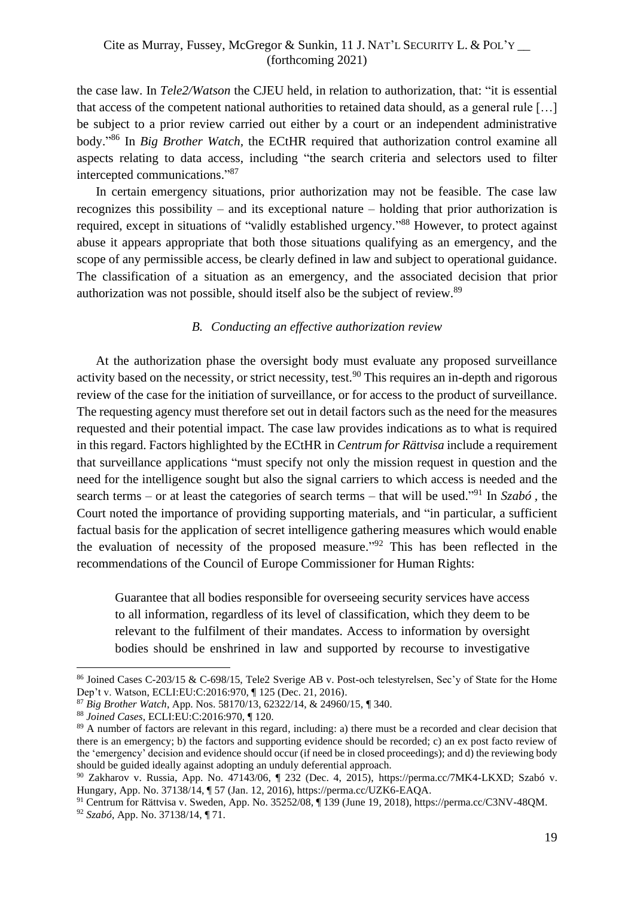the case law. In *Tele2/Watson* the CJEU held, in relation to authorization, that: "it is essential that access of the competent national authorities to retained data should, as a general rule […] be subject to a prior review carried out either by a court or an independent administrative body." <sup>86</sup> In *Big Brother Watch,* the ECtHR required that authorization control examine all aspects relating to data access, including "the search criteria and selectors used to filter intercepted communications." 87

In certain emergency situations, prior authorization may not be feasible. The case law recognizes this possibility – and its exceptional nature – holding that prior authorization is required, except in situations of "validly established urgency."<sup>88</sup> However, to protect against abuse it appears appropriate that both those situations qualifying as an emergency, and the scope of any permissible access, be clearly defined in law and subject to operational guidance. The classification of a situation as an emergency, and the associated decision that prior authorization was not possible, should itself also be the subject of review.<sup>89</sup>

#### *B. Conducting an effective authorization review*

<span id="page-18-0"></span>At the authorization phase the oversight body must evaluate any proposed surveillance activity based on the necessity, or strict necessity, test.<sup>90</sup> This requires an in-depth and rigorous review of the case for the initiation of surveillance, or for access to the product of surveillance. The requesting agency must therefore set out in detail factors such as the need for the measures requested and their potential impact. The case law provides indications as to what is required in this regard. Factors highlighted by the ECtHR in *Centrum for Rättvisa* include a requirement that surveillance applications "must specify not only the mission request in question and the need for the intelligence sought but also the signal carriers to which access is needed and the search terms – or at least the categories of search terms – that will be used." <sup>91</sup> In *Szabó ,* the Court noted the importance of providing supporting materials, and "in particular, a sufficient factual basis for the application of secret intelligence gathering measures which would enable the evaluation of necessity of the proposed measure."<sup>92</sup> This has been reflected in the recommendations of the Council of Europe Commissioner for Human Rights:

Guarantee that all bodies responsible for overseeing security services have access to all information, regardless of its level of classification, which they deem to be relevant to the fulfilment of their mandates. Access to information by oversight bodies should be enshrined in law and supported by recourse to investigative

<sup>86</sup> Joined Cases C-203/15 & C-698/15, Tele2 Sverige AB v. Post-och telestyrelsen, Sec'y of State for the Home Dep't v. Watson, ECLI:EU:C:2016:970, ¶ 125 (Dec. 21, 2016).

<sup>87</sup> *Big Brother Watch*, App. Nos. 58170/13, 62322/14, & 24960/15, ¶ 340.

<sup>88</sup> *Joined Cases*, ECLI:EU:C:2016:970, ¶ 120.

<sup>&</sup>lt;sup>89</sup> A number of factors are relevant in this regard, including: a) there must be a recorded and clear decision that there is an emergency; b) the factors and supporting evidence should be recorded; c) an ex post facto review of the 'emergency' decision and evidence should occur (if need be in closed proceedings); and d) the reviewing body should be guided ideally against adopting an unduly deferential approach.

<sup>90</sup> Zakharov v. Russia, App. No. 47143/06, ¶ 232 (Dec. 4, 2015), https://perma.cc/7MK4-LKXD; Szabó v. Hungary, App. No. 37138/14, ¶ 57 (Jan. 12, 2016), https://perma.cc/UZK6-EAQA.

<sup>91</sup> Centrum for Rättvisa v. Sweden, App. No. 35252/08, ¶ 139 (June 19, 2018), https://perma.cc/C3NV-48QM. <sup>92</sup> *Szabó*, App. No. 37138/14, ¶ 71.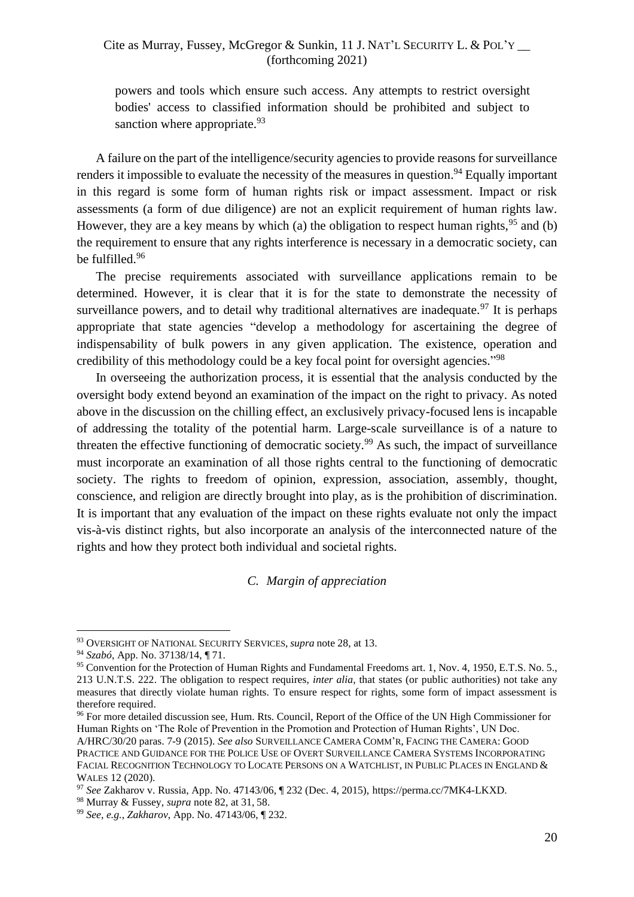powers and tools which ensure such access. Any attempts to restrict oversight bodies' access to classified information should be prohibited and subject to sanction where appropriate.<sup>93</sup>

A failure on the part of the intelligence/security agencies to provide reasons for surveillance renders it impossible to evaluate the necessity of the measures in question.<sup>94</sup> Equally important in this regard is some form of human rights risk or impact assessment. Impact or risk assessments (a form of due diligence) are not an explicit requirement of human rights law. However, they are a key means by which (a) the obligation to respect human rights,  $95$  and (b) the requirement to ensure that any rights interference is necessary in a democratic society, can be fulfilled.<sup>96</sup>

The precise requirements associated with surveillance applications remain to be determined. However, it is clear that it is for the state to demonstrate the necessity of surveillance powers, and to detail why traditional alternatives are inadequate.<sup>97</sup> It is perhaps appropriate that state agencies "develop a methodology for ascertaining the degree of indispensability of bulk powers in any given application. The existence, operation and credibility of this methodology could be a key focal point for oversight agencies."<sup>98</sup>

In overseeing the authorization process, it is essential that the analysis conducted by the oversight body extend beyond an examination of the impact on the right to privacy. As noted above in the discussion on the chilling effect, an exclusively privacy-focused lens is incapable of addressing the totality of the potential harm. Large-scale surveillance is of a nature to threaten the effective functioning of democratic society.<sup>99</sup> As such, the impact of surveillance must incorporate an examination of all those rights central to the functioning of democratic society. The rights to freedom of opinion, expression, association, assembly, thought, conscience, and religion are directly brought into play, as is the prohibition of discrimination. It is important that any evaluation of the impact on these rights evaluate not only the impact vis-à-vis distinct rights, but also incorporate an analysis of the interconnected nature of the rights and how they protect both individual and societal rights.

# *C. Margin of appreciation*

<sup>96</sup> For more detailed discussion see, Hum. Rts. Council, Report of the Office of the UN High Commissioner for Human Rights on 'The Role of Prevention in the Promotion and Protection of Human Rights', UN Doc.

<span id="page-19-0"></span><sup>93</sup> OVERSIGHT OF NATIONAL SECURITY SERVICES, *supra* note 28, at 13.

<sup>94</sup> *Szabó*, App. No. 37138/14, ¶ 71.

<sup>95</sup> Convention for the Protection of Human Rights and Fundamental Freedoms art. 1, Nov. 4, 1950, E.T.S. No. 5., 213 U.N.T.S. 222. The obligation to respect requires, *inter alia*, that states (or public authorities) not take any measures that directly violate human rights. To ensure respect for rights, some form of impact assessment is therefore required.

A/HRC/30/20 paras. 7-9 (2015). *See also* SURVEILLANCE CAMERA COMM'R, FACING THE CAMERA: GOOD PRACTICE AND GUIDANCE FOR THE POLICE USE OF OVERT SURVEILLANCE CAMERA SYSTEMS INCORPORATING FACIAL RECOGNITION TECHNOLOGY TO LOCATE PERSONS ON A WATCHLIST, IN PUBLIC PLACES IN ENGLAND & WALES 12 (2020).

<sup>97</sup> *See* Zakharov v. Russia, App. No. 47143/06, ¶ 232 (Dec. 4, 2015), https://perma.cc/7MK4-LKXD.

<sup>98</sup> Murray & Fussey, *supra* note 82, at 31, 58.

<sup>99</sup> *See*, *e.g.*, *Zakharov*, App. No. 47143/06, ¶ 232.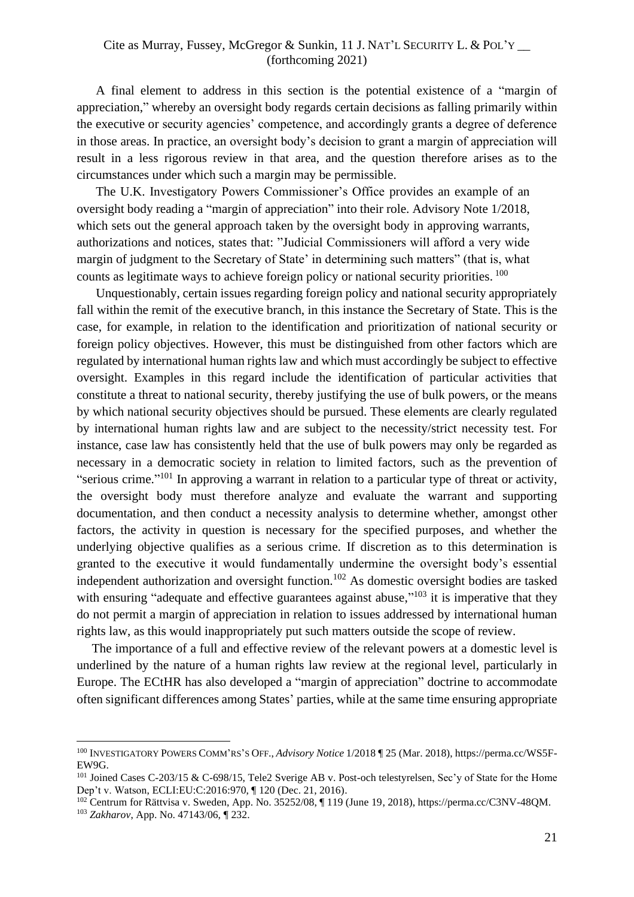A final element to address in this section is the potential existence of a "margin of appreciation," whereby an oversight body regards certain decisions as falling primarily within the executive or security agencies' competence, and accordingly grants a degree of deference in those areas. In practice, an oversight body's decision to grant a margin of appreciation will result in a less rigorous review in that area, and the question therefore arises as to the circumstances under which such a margin may be permissible.

The U.K. Investigatory Powers Commissioner's Office provides an example of an oversight body reading a "margin of appreciation" into their role. Advisory Note 1/2018, which sets out the general approach taken by the oversight body in approving warrants, authorizations and notices, states that: "Judicial Commissioners will afford a very wide margin of judgment to the Secretary of State' in determining such matters" (that is, what counts as legitimate ways to achieve foreign policy or national security priorities. <sup>100</sup>

Unquestionably, certain issues regarding foreign policy and national security appropriately fall within the remit of the executive branch, in this instance the Secretary of State. This is the case, for example, in relation to the identification and prioritization of national security or foreign policy objectives. However, this must be distinguished from other factors which are regulated by international human rights law and which must accordingly be subject to effective oversight. Examples in this regard include the identification of particular activities that constitute a threat to national security, thereby justifying the use of bulk powers, or the means by which national security objectives should be pursued. These elements are clearly regulated by international human rights law and are subject to the necessity/strict necessity test. For instance, case law has consistently held that the use of bulk powers may only be regarded as necessary in a democratic society in relation to limited factors, such as the prevention of "serious crime."<sup>101</sup> In approving a warrant in relation to a particular type of threat or activity, the oversight body must therefore analyze and evaluate the warrant and supporting documentation, and then conduct a necessity analysis to determine whether, amongst other factors, the activity in question is necessary for the specified purposes, and whether the underlying objective qualifies as a serious crime. If discretion as to this determination is granted to the executive it would fundamentally undermine the oversight body's essential independent authorization and oversight function.<sup>102</sup> As domestic oversight bodies are tasked with ensuring "adequate and effective guarantees against abuse,"<sup>103</sup> it is imperative that they do not permit a margin of appreciation in relation to issues addressed by international human rights law, as this would inappropriately put such matters outside the scope of review.

The importance of a full and effective review of the relevant powers at a domestic level is underlined by the nature of a human rights law review at the regional level, particularly in Europe. The ECtHR has also developed a "margin of appreciation" doctrine to accommodate often significant differences among States' parties, while at the same time ensuring appropriate

<sup>100</sup> INVESTIGATORY POWERS COMM'RS'S OFF., *Advisory Notice* 1/2018 ¶ 25 (Mar. 2018), https://perma.cc/WS5F-EW9G.

<sup>&</sup>lt;sup>101</sup> Joined Cases C-203/15 & C-698/15, Tele2 Sverige AB v. Post-och telestyrelsen, Sec'y of State for the Home Dep't v. Watson, ECLI:EU:C:2016:970, ¶ 120 (Dec. 21, 2016).

<sup>102</sup> Centrum for Rättvisa v. Sweden, App. No. 35252/08, ¶ 119 (June 19, 2018), https://perma.cc/C3NV-48QM.

<sup>103</sup> *Zakharov*, App. No. 47143/06, ¶ 232.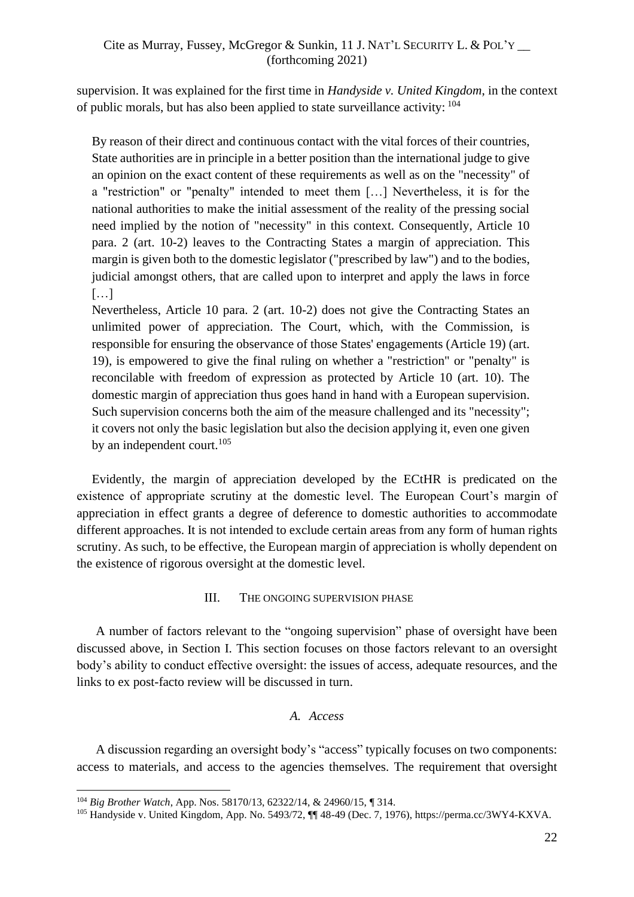supervision. It was explained for the first time in *Handyside v. United Kingdom*, in the context of public morals, but has also been applied to state surveillance activity:  $^{104}$ 

By reason of their direct and continuous contact with the vital forces of their countries, State authorities are in principle in a better position than the international judge to give an opinion on the exact content of these requirements as well as on the "necessity" of a "restriction" or "penalty" intended to meet them […] Nevertheless, it is for the national authorities to make the initial assessment of the reality of the pressing social need implied by the notion of "necessity" in this context. Consequently, Article 10 para. 2 (art. 10-2) leaves to the Contracting States a margin of appreciation. This margin is given both to the domestic legislator ("prescribed by law") and to the bodies, judicial amongst others, that are called upon to interpret and apply the laws in force  $[\ldots]$ 

Nevertheless, Article 10 para. 2 (art. 10-2) does not give the Contracting States an unlimited power of appreciation. The Court, which, with the Commission, is responsible for ensuring the observance of those States' engagements (Article 19) (art. 19), is empowered to give the final ruling on whether a "restriction" or "penalty" is reconcilable with freedom of expression as protected by Article 10 (art. 10). The domestic margin of appreciation thus goes hand in hand with a European supervision. Such supervision concerns both the aim of the measure challenged and its "necessity"; it covers not only the basic legislation but also the decision applying it, even one given by an independent court.<sup>105</sup>

Evidently, the margin of appreciation developed by the ECtHR is predicated on the existence of appropriate scrutiny at the domestic level. The European Court's margin of appreciation in effect grants a degree of deference to domestic authorities to accommodate different approaches. It is not intended to exclude certain areas from any form of human rights scrutiny. As such, to be effective, the European margin of appreciation is wholly dependent on the existence of rigorous oversight at the domestic level.

# III. THE ONGOING SUPERVISION PHASE

<span id="page-21-0"></span>A number of factors relevant to the "ongoing supervision" phase of oversight have been discussed above, in Section I. This section focuses on those factors relevant to an oversight body's ability to conduct effective oversight: the issues of access, adequate resources, and the links to ex post-facto review will be discussed in turn.

# *A. Access*

<span id="page-21-1"></span>A discussion regarding an oversight body's "access" typically focuses on two components: access to materials, and access to the agencies themselves. The requirement that oversight

<sup>104</sup> *Big Brother Watch*, App. Nos. 58170/13, 62322/14, & 24960/15, ¶ 314.

<sup>105</sup> Handyside v. United Kingdom, App. No. 5493/72, ¶¶ 48-49 (Dec. 7, 1976), https://perma.cc/3WY4-KXVA.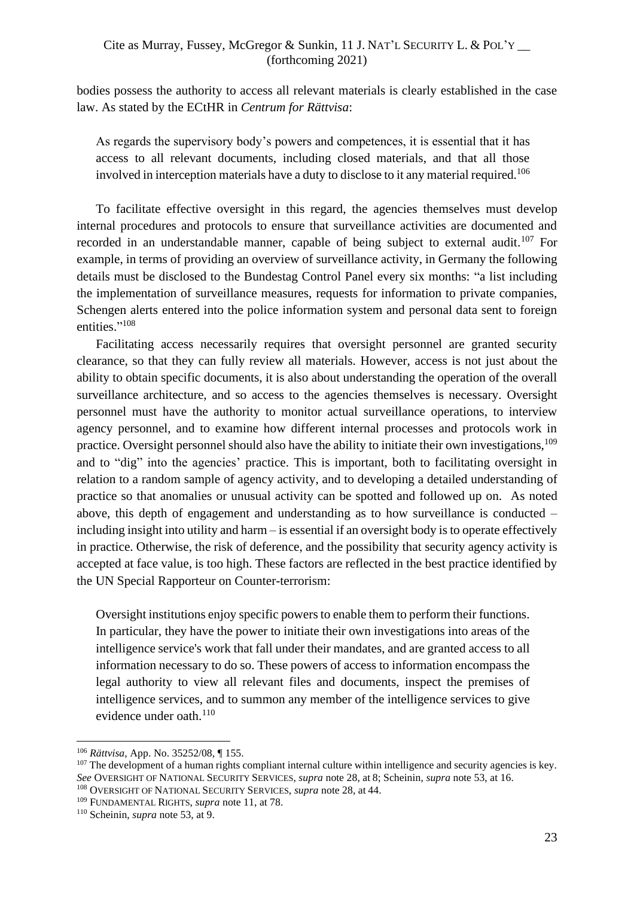bodies possess the authority to access all relevant materials is clearly established in the case law. As stated by the ECtHR in *Centrum for Rättvisa*:

As regards the supervisory body's powers and competences, it is essential that it has access to all relevant documents, including closed materials, and that all those involved in interception materials have a duty to disclose to it any material required.<sup>106</sup>

To facilitate effective oversight in this regard, the agencies themselves must develop internal procedures and protocols to ensure that surveillance activities are documented and recorded in an understandable manner, capable of being subject to external audit.<sup>107</sup> For example, in terms of providing an overview of surveillance activity, in Germany the following details must be disclosed to the Bundestag Control Panel every six months: "a list including the implementation of surveillance measures, requests for information to private companies, Schengen alerts entered into the police information system and personal data sent to foreign entities."<sup>108</sup>

Facilitating access necessarily requires that oversight personnel are granted security clearance, so that they can fully review all materials. However, access is not just about the ability to obtain specific documents, it is also about understanding the operation of the overall surveillance architecture, and so access to the agencies themselves is necessary. Oversight personnel must have the authority to monitor actual surveillance operations, to interview agency personnel, and to examine how different internal processes and protocols work in practice. Oversight personnel should also have the ability to initiate their own investigations,<sup>109</sup> and to "dig" into the agencies' practice. This is important, both to facilitating oversight in relation to a random sample of agency activity, and to developing a detailed understanding of practice so that anomalies or unusual activity can be spotted and followed up on. As noted above, this depth of engagement and understanding as to how surveillance is conducted – including insight into utility and harm – is essential if an oversight body is to operate effectively in practice. Otherwise, the risk of deference, and the possibility that security agency activity is accepted at face value, is too high. These factors are reflected in the best practice identified by the UN Special Rapporteur on Counter-terrorism:

Oversight institutions enjoy specific powers to enable them to perform their functions. In particular, they have the power to initiate their own investigations into areas of the intelligence service's work that fall under their mandates, and are granted access to all information necessary to do so. These powers of access to information encompass the legal authority to view all relevant files and documents, inspect the premises of intelligence services, and to summon any member of the intelligence services to give evidence under oath.<sup>110</sup>

<sup>106</sup> *Rättvisa*, App. No. 35252/08, ¶ 155.

<sup>&</sup>lt;sup>107</sup> The development of a human rights compliant internal culture within intelligence and security agencies is key. *See* OVERSIGHT OF NATIONAL SECURITY SERVICES, *supra* note 28, at 8; Scheinin, *supra* note 53, at 16.

<sup>108</sup> OVERSIGHT OF NATIONAL SECURITY SERVICES, *supra* note 28, at 44.

<sup>109</sup> FUNDAMENTAL RIGHTS, *supra* note 11, at 78.

<sup>110</sup> Scheinin, *supra* note 53, at 9.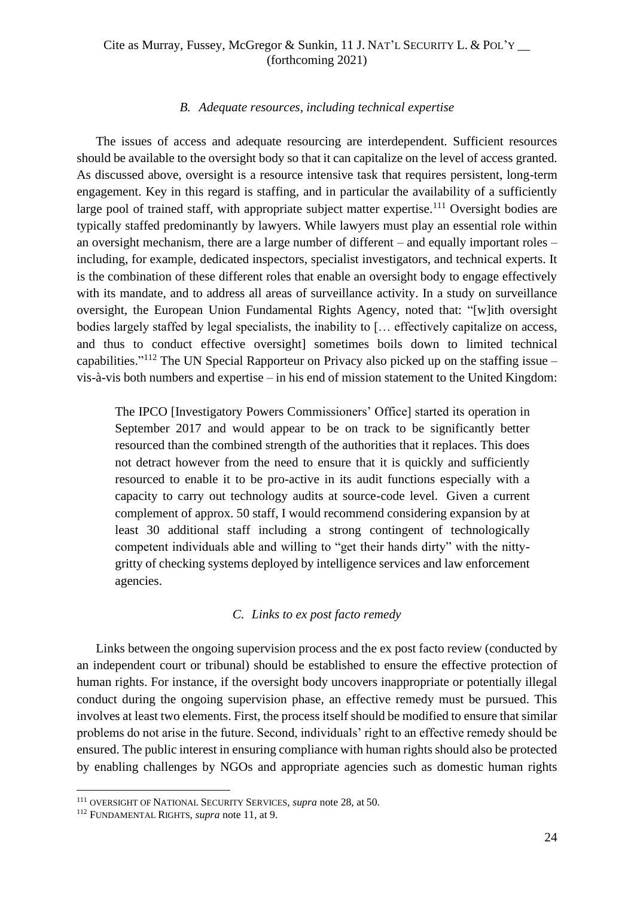#### *B. Adequate resources, including technical expertise*

<span id="page-23-0"></span>The issues of access and adequate resourcing are interdependent. Sufficient resources should be available to the oversight body so that it can capitalize on the level of access granted. As discussed above, oversight is a resource intensive task that requires persistent, long-term engagement. Key in this regard is staffing, and in particular the availability of a sufficiently large pool of trained staff, with appropriate subject matter expertise.<sup>111</sup> Oversight bodies are typically staffed predominantly by lawyers. While lawyers must play an essential role within an oversight mechanism, there are a large number of different – and equally important roles – including, for example, dedicated inspectors, specialist investigators, and technical experts. It is the combination of these different roles that enable an oversight body to engage effectively with its mandate, and to address all areas of surveillance activity. In a study on surveillance oversight, the European Union Fundamental Rights Agency, noted that: "[w]ith oversight bodies largely staffed by legal specialists, the inability to [... effectively capitalize on access, and thus to conduct effective oversight] sometimes boils down to limited technical capabilities."<sup>112</sup> The UN Special Rapporteur on Privacy also picked up on the staffing issue – vis-à-vis both numbers and expertise – in his end of mission statement to the United Kingdom:

The IPCO [Investigatory Powers Commissioners' Office] started its operation in September 2017 and would appear to be on track to be significantly better resourced than the combined strength of the authorities that it replaces. This does not detract however from the need to ensure that it is quickly and sufficiently resourced to enable it to be pro-active in its audit functions especially with a capacity to carry out technology audits at source-code level. Given a current complement of approx. 50 staff, I would recommend considering expansion by at least 30 additional staff including a strong contingent of technologically competent individuals able and willing to "get their hands dirty" with the nittygritty of checking systems deployed by intelligence services and law enforcement agencies.

## *C. Links to ex post facto remedy*

<span id="page-23-1"></span>Links between the ongoing supervision process and the ex post facto review (conducted by an independent court or tribunal) should be established to ensure the effective protection of human rights. For instance, if the oversight body uncovers inappropriate or potentially illegal conduct during the ongoing supervision phase, an effective remedy must be pursued. This involves at least two elements. First, the process itself should be modified to ensure that similar problems do not arise in the future. Second, individuals' right to an effective remedy should be ensured. The public interest in ensuring compliance with human rights should also be protected by enabling challenges by NGOs and appropriate agencies such as domestic human rights

<sup>111</sup> OVERSIGHT OF NATIONAL SECURITY SERVICES, *supra* note 28, at 50.

<sup>112</sup> FUNDAMENTAL RIGHTS, *supra* note 11, at 9.